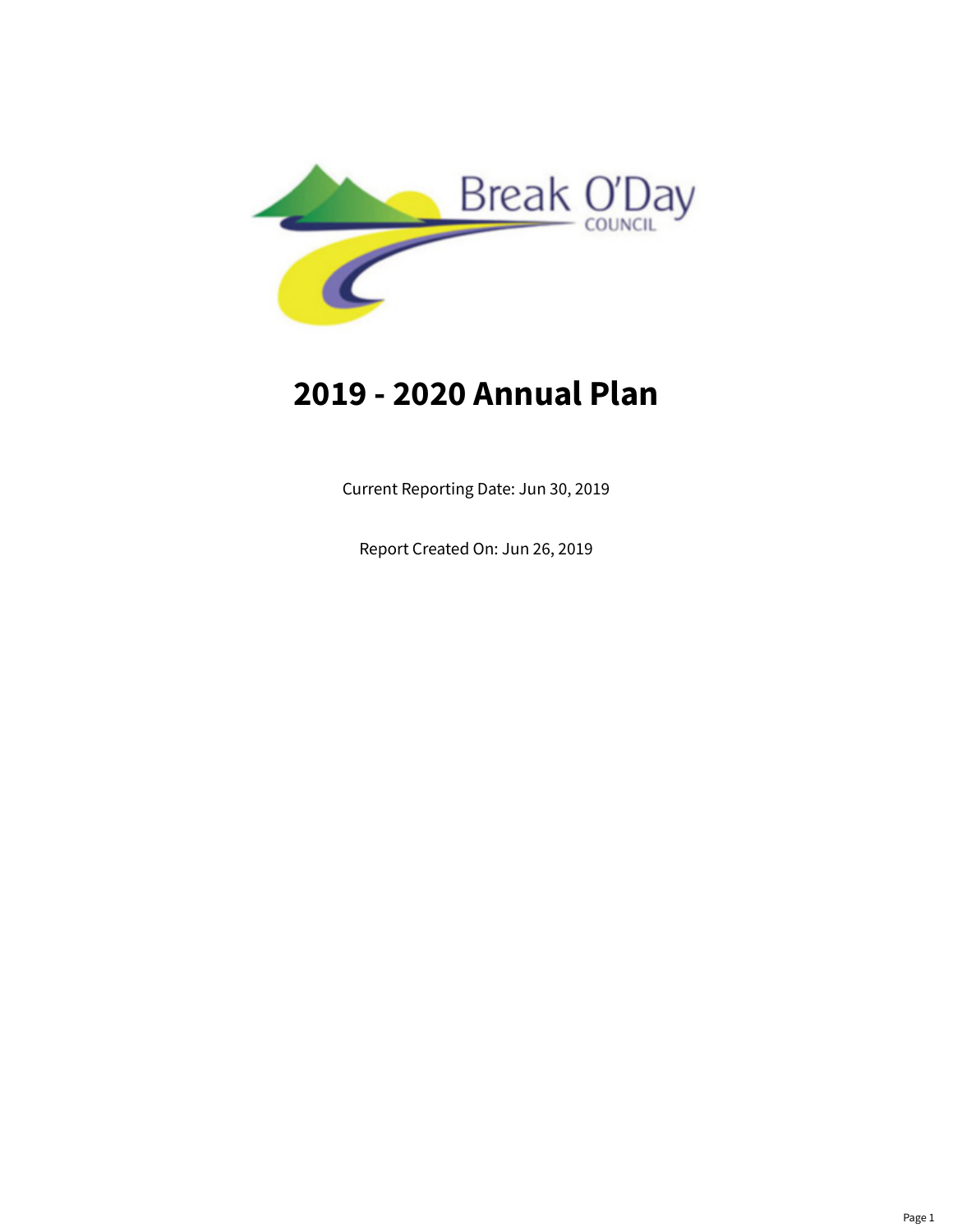

# **2019 - 2020 Annual Plan**

Current Reporting Date: Jun 30, 2019

Report Created On: Jun 26, 2019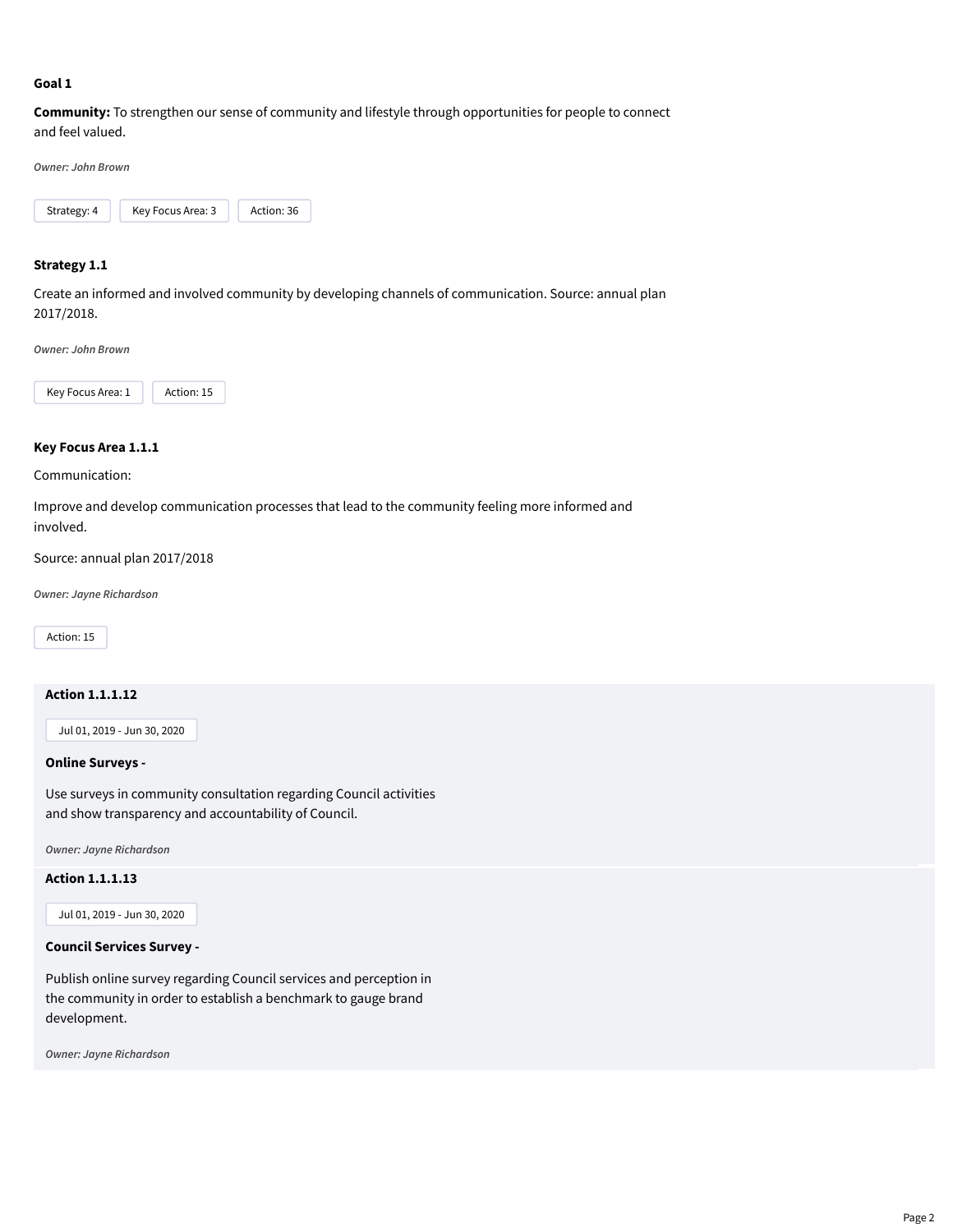#### **Goal 1**

**Community:** To strengthen our sense of community and lifestyle through opportunities for people to connect and feel valued.

*Owner: John Brown*



#### **Strategy 1.1**

Create an informed and involved community by developing channels of communication. Source: annual plan 2017/2018.

*Owner: John Brown*



#### **Key Focus Area 1.1.1**

Communication:

Improve and develop communication processes that lead to the community feeling more informed and involved.

Source: annual plan 2017/2018

*Owner: Jayne Richardson*

Action: 15

# **Action 1.1.1.12**

Jul 01, 2019 - Jun 30, 2020

#### **Online Surveys -**

Use surveys in community consultation regarding Council activities and show transparency and accountability of Council.

*Owner: Jayne Richardson*

**Action 1.1.1.13**

Jul 01, 2019 - Jun 30, 2020

#### **Council Services Survey -**

Publish online survey regarding Council services and perception in the community in order to establish a benchmark to gauge brand development.

*Owner: Jayne Richardson*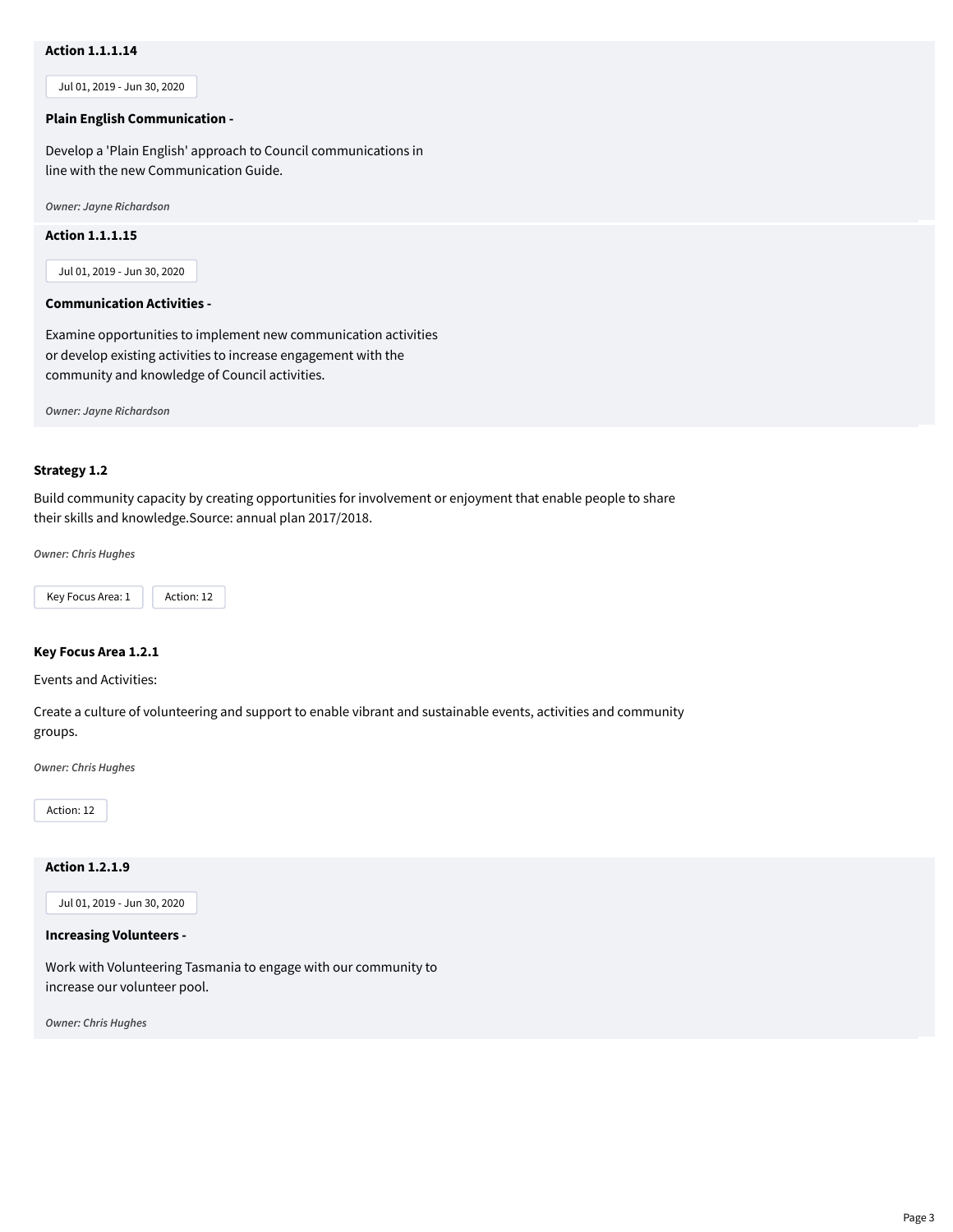# **Action 1.1.1.14**

Jul 01, 2019 - Jun 30, 2020

#### **Plain English Communication -**

Develop a 'Plain English' approach to Council communications in line with the new Communication Guide.

*Owner: Jayne Richardson*

#### **Action 1.1.1.15**

Jul 01, 2019 - Jun 30, 2020

#### **Communication Activities -**

Examine opportunities to implement new communication activities or develop existing activities to increase engagement with the community and knowledge of Council activities.

*Owner: Jayne Richardson*

#### **Strategy 1.2**

Build community capacity by creating opportunities for involvement or enjoyment that enable people to share their skills and knowledge.Source: annual plan 2017/2018.

*Owner: Chris Hughes*



#### **Key Focus Area 1.2.1**

Events and Activities:

Create a culture of volunteering and support to enable vibrant and sustainable events, activities and community groups.

*Owner: Chris Hughes*

Action: 12

### **Action 1.2.1.9**

Jul 01, 2019 - Jun 30, 2020

#### **Increasing Volunteers -**

Work with Volunteering Tasmania to engage with our community to increase our volunteer pool.

*Owner: Chris Hughes*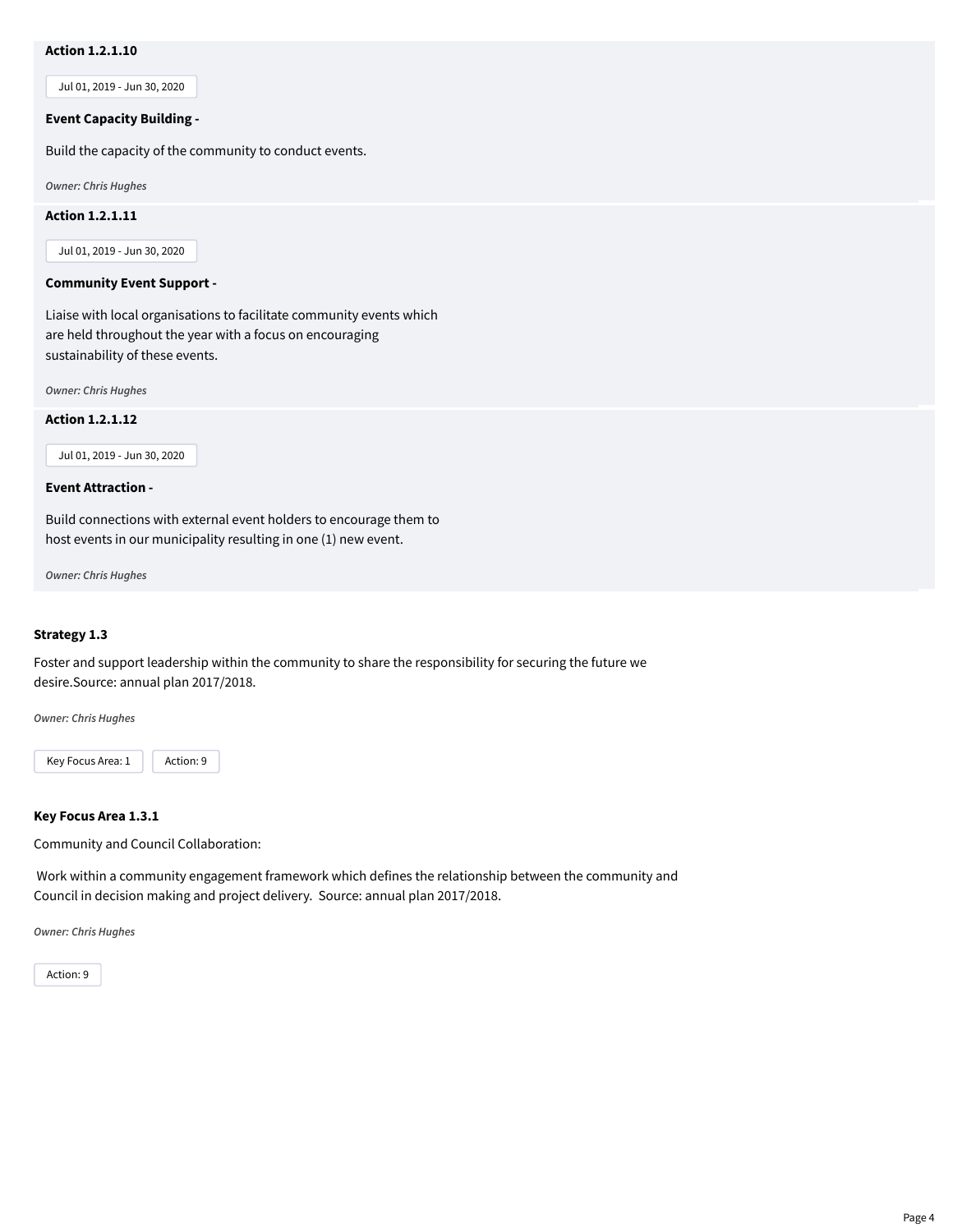# **Action 1.2.1.10**

Jul 01, 2019 - Jun 30, 2020

#### **Event Capacity Building -**

Build the capacity of the community to conduct events.

*Owner: Chris Hughes*

#### **Action 1.2.1.11**

Jul 01, 2019 - Jun 30, 2020

#### **Community Event Support -**

Liaise with local organisations to facilitate community events which are held throughout the year with a focus on encouraging sustainability of these events.

*Owner: Chris Hughes*

**Action 1.2.1.12**

Jul 01, 2019 - Jun 30, 2020

#### **Event Attraction -**

Build connections with external event holders to encourage them to host events in our municipality resulting in one (1) new event.

*Owner: Chris Hughes*

#### **Strategy 1.3**

Foster and support leadership within the community to share the responsibility for securing the future we desire.Source: annual plan 2017/2018.

*Owner: Chris Hughes*



#### **Key Focus Area 1.3.1**

Community and Council Collaboration:

Work within a community engagement framework which defines the relationship between the community and Council in decision making and project delivery. Source: annual plan 2017/2018.

*Owner: Chris Hughes*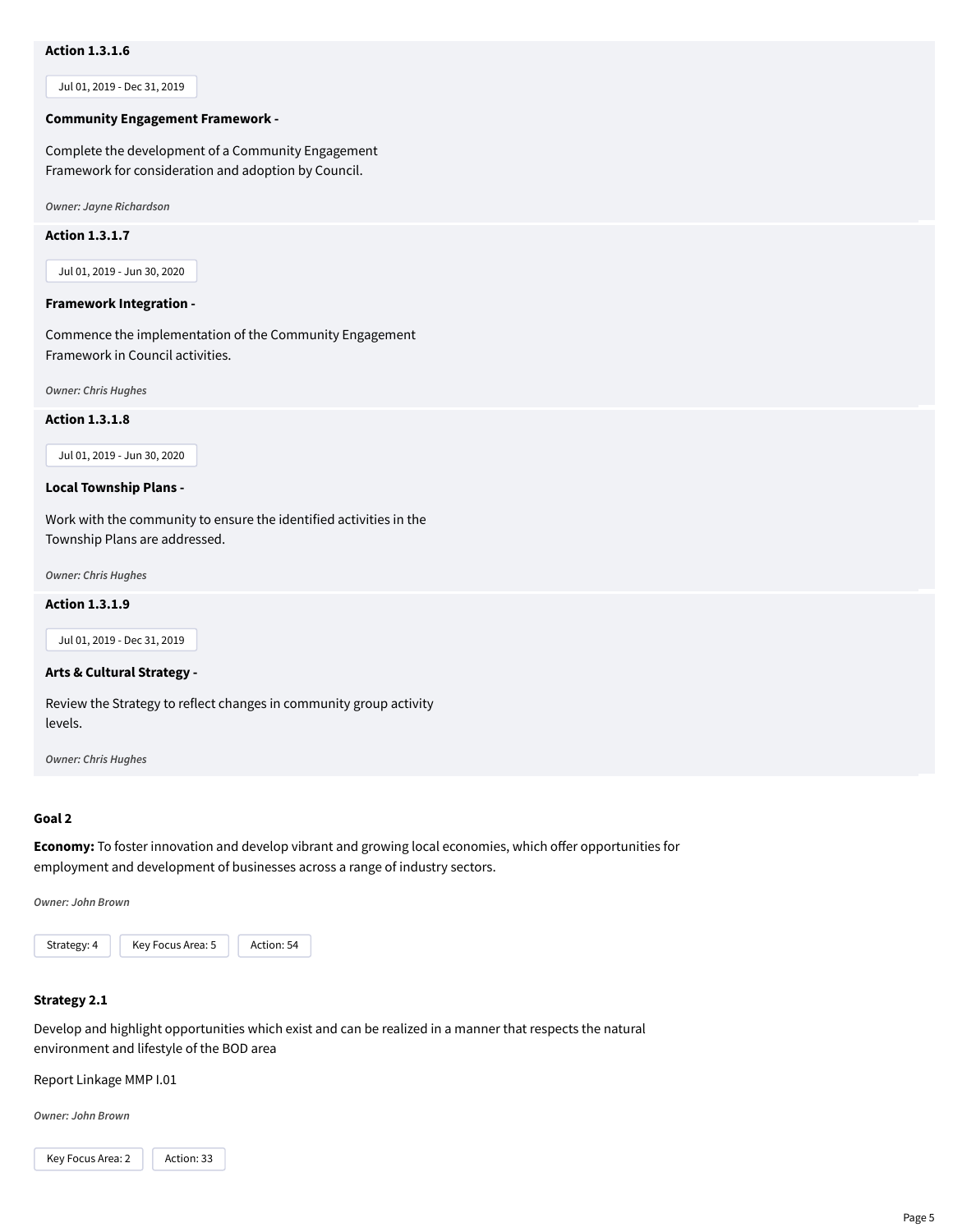# **Action 1.3.1.6**

Jul 01, 2019 - Dec 31, 2019

#### **Community Engagement Framework -**

Complete the development of a Community Engagement Framework for consideration and adoption by Council.

*Owner: Jayne Richardson*

#### **Action 1.3.1.7**

Jul 01, 2019 - Jun 30, 2020

#### **Framework Integration -**

Commence the implementation of the Community Engagement Framework in Council activities.

*Owner: Chris Hughes*

#### **Action 1.3.1.8**

Jul 01, 2019 - Jun 30, 2020

#### **Local Township Plans -**

Work with the community to ensure the identified activities in the Township Plans are addressed.

*Owner: Chris Hughes*

#### **Action 1.3.1.9**

Jul 01, 2019 - Dec 31, 2019

#### **Arts & Cultural Strategy -**

Review the Strategy to reflect changes in community group activity levels.

*Owner: Chris Hughes*

#### **Goal 2**

**Economy:** To foster innovation and develop vibrant and growing local economies, which offer opportunities for employment and development of businesses across a range of industry sectors.

*Owner: John Brown*



# **Strategy 2.1**

Develop and highlight opportunities which exist and can be realized in a manner that respects the natural environment and lifestyle of the BOD area

Report Linkage MMP I.01

*Owner: John Brown*

Key Focus Area: 2 | Action: 33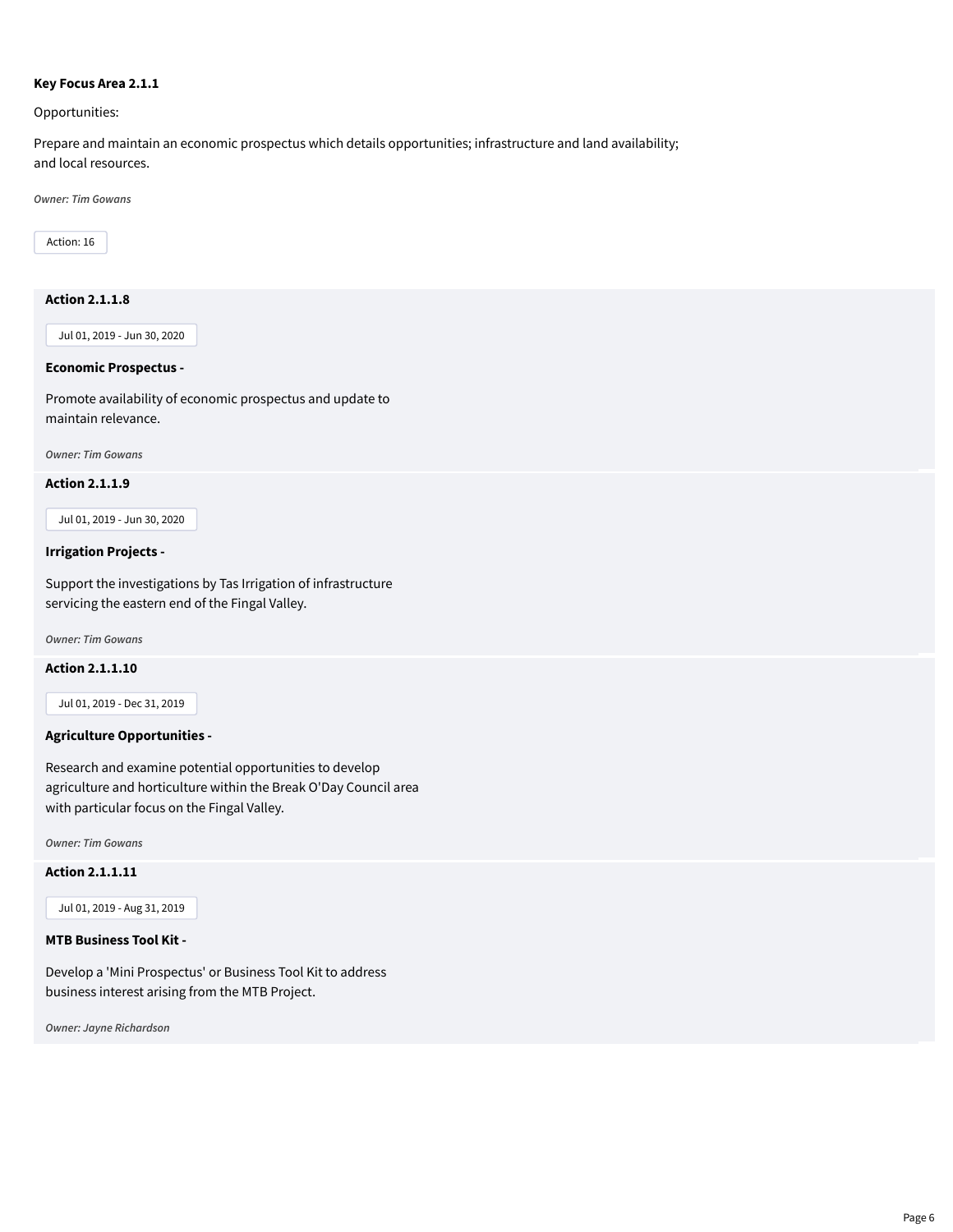# **Key Focus Area 2.1.1**

Opportunities:

Prepare and maintain an economic prospectus which details opportunities; infrastructure and land availability; and local resources.

*Owner: Tim Gowans*

Action: 16

# **Action 2.1.1.8**

Jul 01, 2019 - Jun 30, 2020

# **Economic Prospectus -**

Promote availability of economic prospectus and update to maintain relevance.

*Owner: Tim Gowans*

#### **Action 2.1.1.9**

Jul 01, 2019 - Jun 30, 2020

#### **Irrigation Projects -**

Support the investigations by Tas Irrigation of infrastructure servicing the eastern end of the Fingal Valley.

*Owner: Tim Gowans*

# **Action 2.1.1.10**

Jul 01, 2019 - Dec 31, 2019

# **Agriculture Opportunities -**

Research and examine potential opportunities to develop agriculture and horticulture within the Break O'Day Council area with particular focus on the Fingal Valley.

*Owner: Tim Gowans*

**Action 2.1.1.11**

Jul 01, 2019 - Aug 31, 2019

#### **MTB Business Tool Kit -**

Develop a 'Mini Prospectus' or Business Tool Kit to address business interest arising from the MTB Project.

*Owner: Jayne Richardson*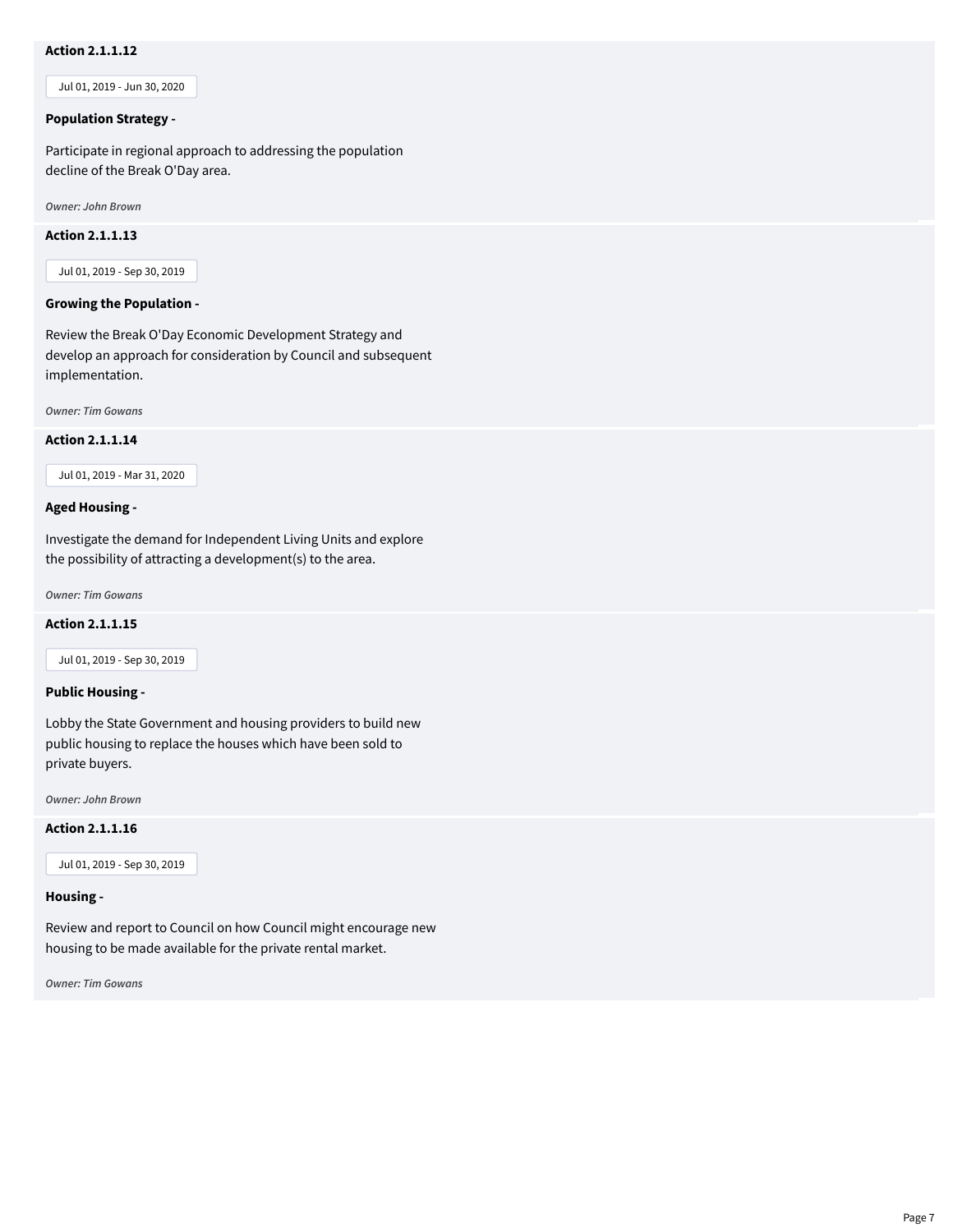# **Action 2.1.1.12**

Jul 01, 2019 - Jun 30, 2020

# **Population Strategy -**

Participate in regional approach to addressing the population decline of the Break O'Day area.

*Owner: John Brown*

#### **Action 2.1.1.13**

Jul 01, 2019 - Sep 30, 2019

# **Growing the Population -**

Review the Break O'Day Economic Development Strategy and develop an approach for consideration by Council and subsequent implementation.

*Owner: Tim Gowans*

#### **Action 2.1.1.14**

Jul 01, 2019 - Mar 31, 2020

#### **Aged Housing -**

Investigate the demand for Independent Living Units and explore the possibility of attracting a development(s) to the area.

*Owner: Tim Gowans*

#### **Action 2.1.1.15**

Jul 01, 2019 - Sep 30, 2019

# **Public Housing -**

Lobby the State Government and housing providers to build new public housing to replace the houses which have been sold to private buyers.

*Owner: John Brown*

#### **Action 2.1.1.16**

Jul 01, 2019 - Sep 30, 2019

#### **Housing -**

Review and report to Council on how Council might encourage new housing to be made available for the private rental market.

*Owner: Tim Gowans*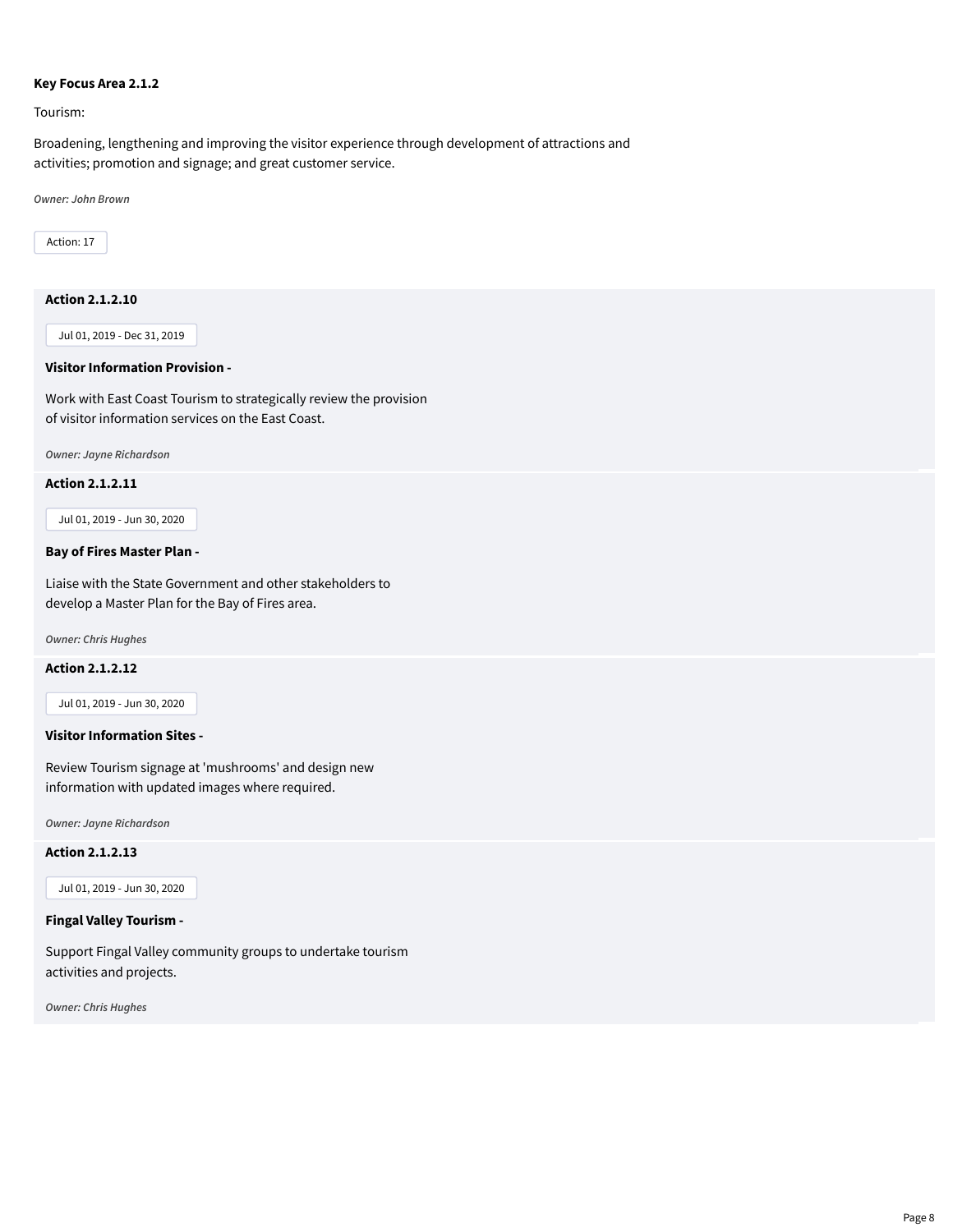#### **Key Focus Area 2.1.2**

Tourism:

Broadening, lengthening and improving the visitor experience through development of attractions and activities; promotion and signage; and great customer service.

*Owner: John Brown*

Action: 17

# **Action 2.1.2.10**

Jul 01, 2019 - Dec 31, 2019

# **Visitor Information Provision -**

Work with East Coast Tourism to strategically review the provision of visitor information services on the East Coast.

*Owner: Jayne Richardson*

#### **Action 2.1.2.11**

Jul 01, 2019 - Jun 30, 2020

#### **Bay of Fires Master Plan -**

Liaise with the State Government and other stakeholders to develop a Master Plan for the Bay of Fires area.

*Owner: Chris Hughes*

# **Action 2.1.2.12**

Jul 01, 2019 - Jun 30, 2020

# **Visitor Information Sites -**

Review Tourism signage at 'mushrooms' and design new information with updated images where required.

*Owner: Jayne Richardson*

# **Action 2.1.2.13**

Jul 01, 2019 - Jun 30, 2020

#### **Fingal Valley Tourism -**

Support Fingal Valley community groups to undertake tourism activities and projects.

*Owner: Chris Hughes*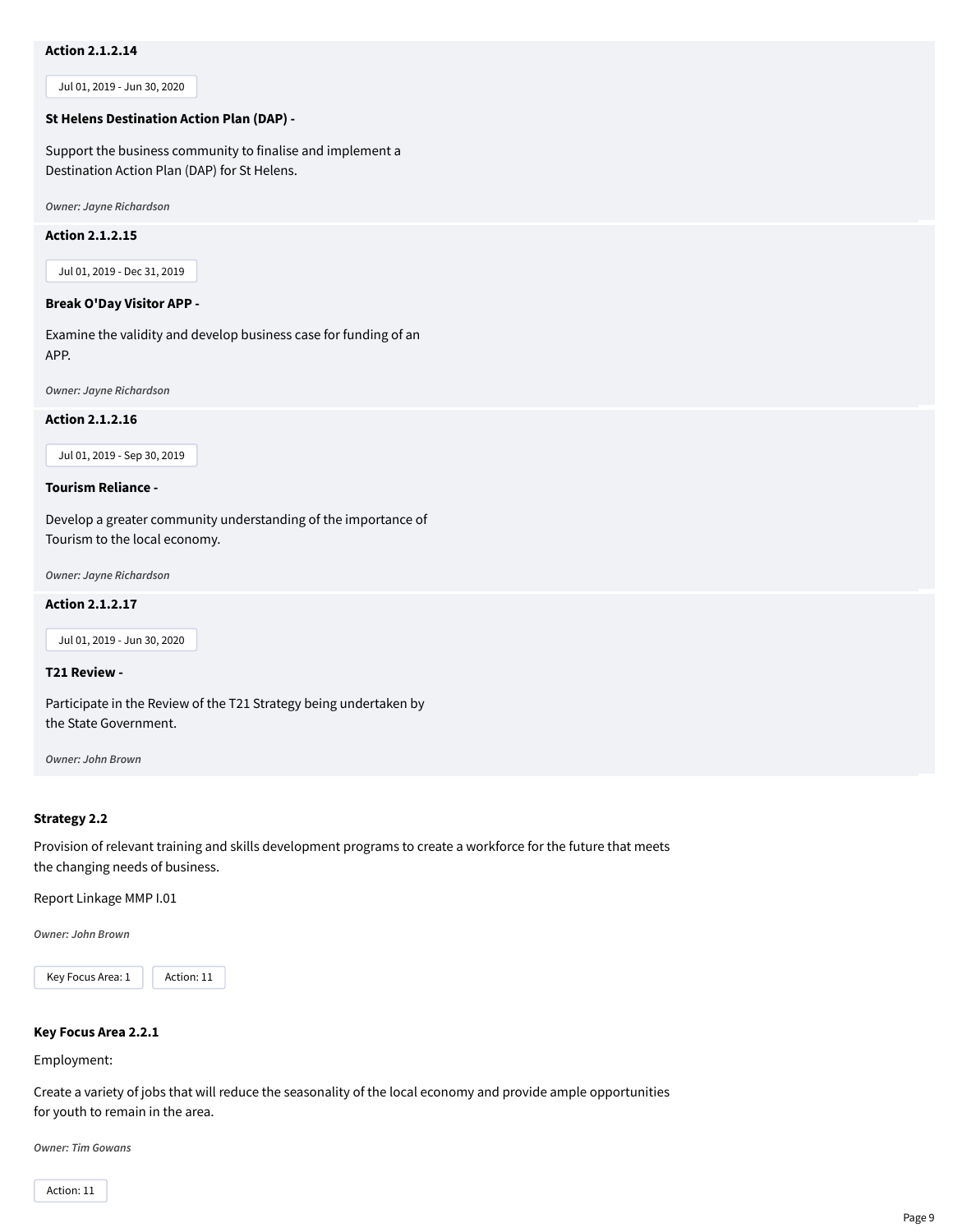# **Action 2.1.2.14**

Jul 01, 2019 - Jun 30, 2020

#### **St Helens Destination Action Plan (DAP) -**

Support the business community to finalise and implement a Destination Action Plan (DAP) for St Helens.

*Owner: Jayne Richardson*

#### **Action 2.1.2.15**

Jul 01, 2019 - Dec 31, 2019

# **Break O'Day Visitor APP -**

Examine the validity and develop business case for funding of an APP.

*Owner: Jayne Richardson*

#### **Action 2.1.2.16**

Jul 01, 2019 - Sep 30, 2019

#### **Tourism Reliance -**

Develop a greater community understanding of the importance of Tourism to the local economy.

*Owner: Jayne Richardson*

#### **Action 2.1.2.17**

Jul 01, 2019 - Jun 30, 2020

# **T21 Review -**

Participate in the Review of the T21 Strategy being undertaken by the State Government.

*Owner: John Brown*

#### **Strategy 2.2**

Provision of relevant training and skills development programs to create a workforce for the future that meets the changing needs of business.

Report Linkage MMP I.01

*Owner: John Brown*



# **Key Focus Area 2.2.1**

Employment:

Create a variety of jobs that will reduce the seasonality of the local economy and provide ample opportunities for youth to remain in the area.

*Owner: Tim Gowans*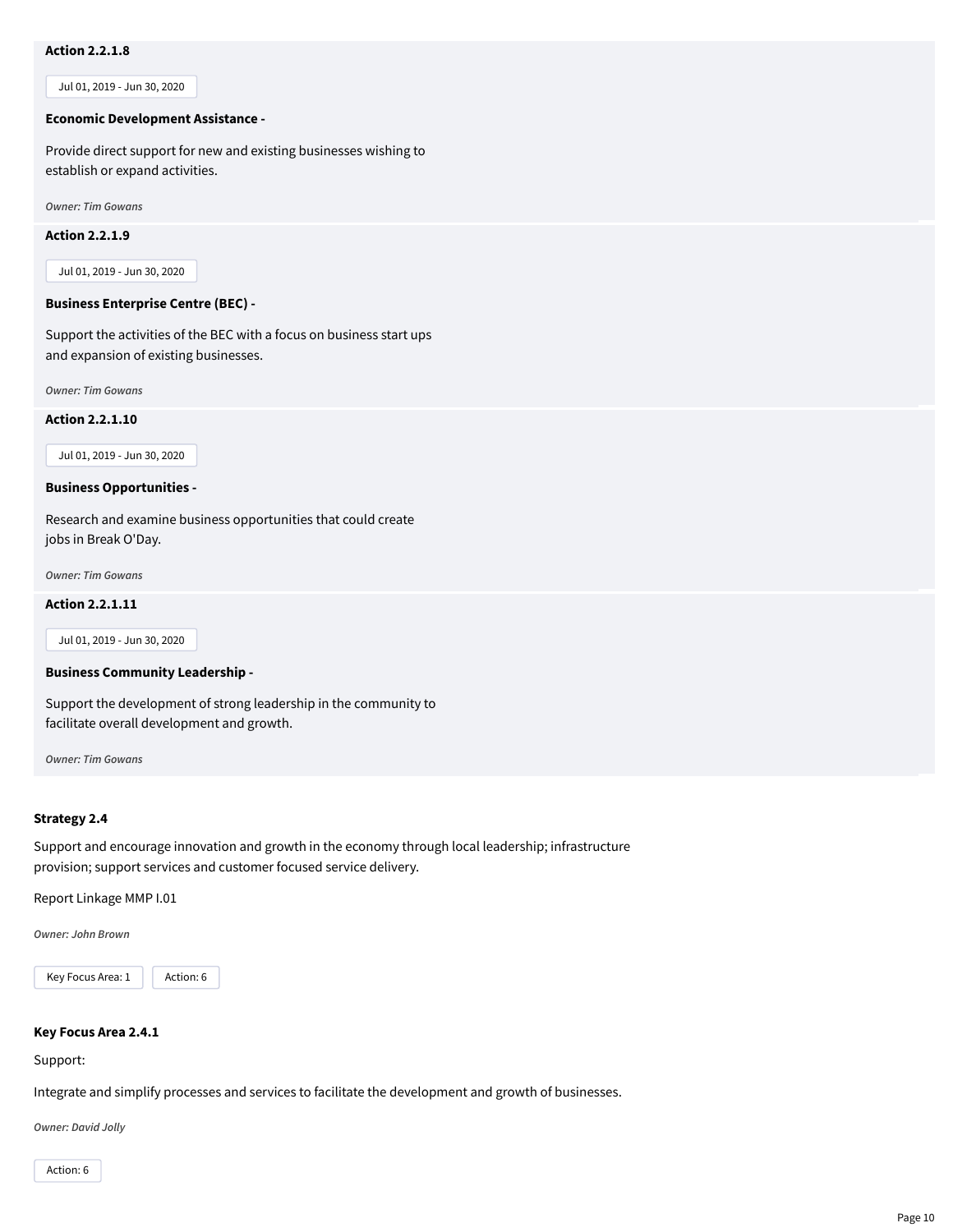# **Action 2.2.1.8**

Jul 01, 2019 - Jun 30, 2020

#### **Economic Development Assistance -**

Provide direct support for new and existing businesses wishing to establish or expand activities.

*Owner: Tim Gowans*

#### **Action 2.2.1.9**

Jul 01, 2019 - Jun 30, 2020

# **Business Enterprise Centre (BEC) -**

Support the activities of the BEC with a focus on business start ups and expansion of existing businesses.

*Owner: Tim Gowans*

**Action 2.2.1.10**

Jul 01, 2019 - Jun 30, 2020

#### **Business Opportunities -**

Research and examine business opportunities that could create jobs in Break O'Day.

*Owner: Tim Gowans*

#### **Action 2.2.1.11**

Jul 01, 2019 - Jun 30, 2020

#### **Business Community Leadership -**

Support the development of strong leadership in the community to facilitate overall development and growth.

*Owner: Tim Gowans*

#### **Strategy 2.4**

Support and encourage innovation and growth in the economy through local leadership; infrastructure provision; support services and customer focused service delivery.

Report Linkage MMP I.01

*Owner: John Brown*



#### **Key Focus Area 2.4.1**

Support:

Integrate and simplify processes and services to facilitate the development and growth of businesses.

*Owner: David Jolly*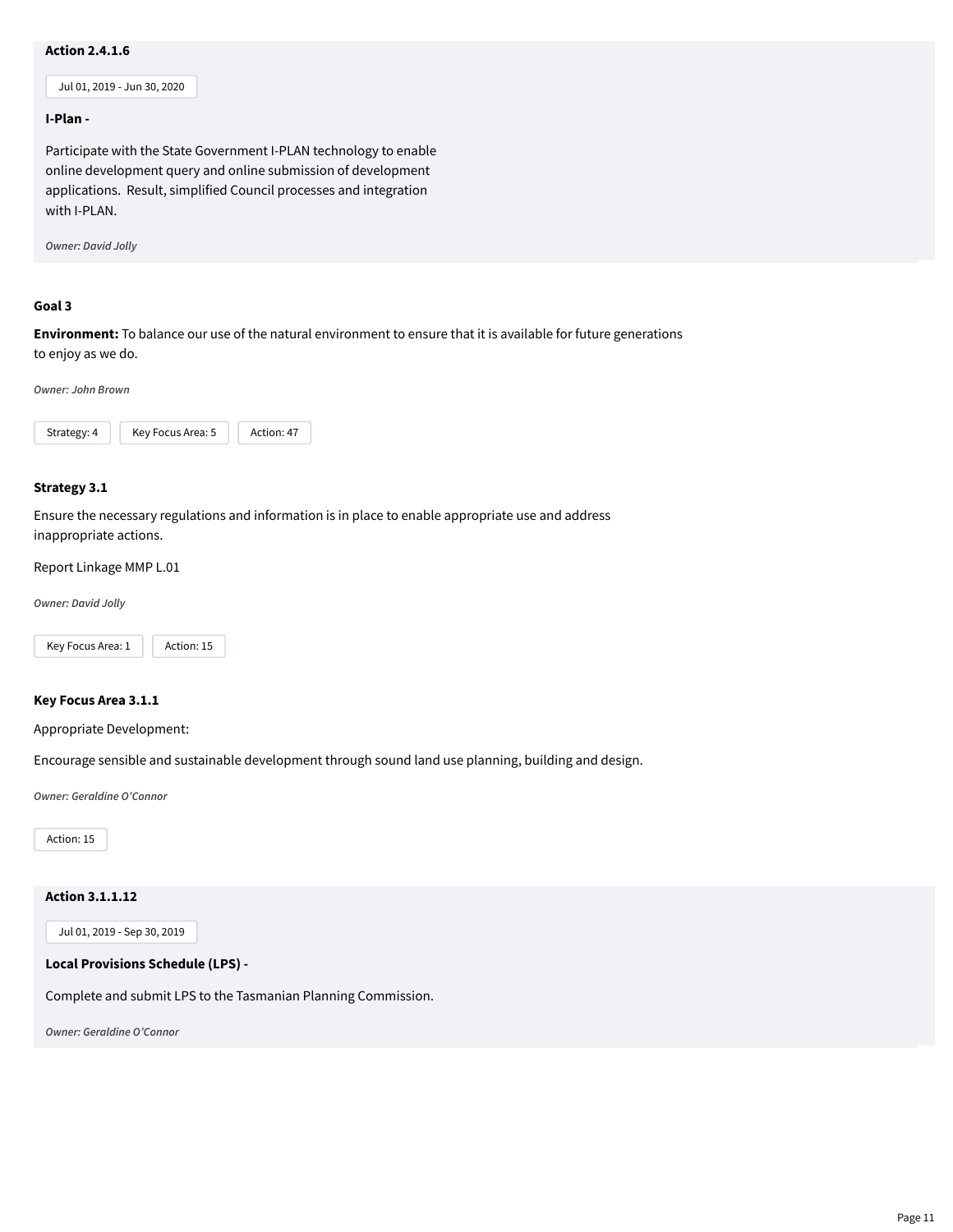# **Action 2.4.1.6**

Jul 01, 2019 - Jun 30, 2020

#### **I-Plan -**

Participate with the State Government I-PLAN technology to enable online development query and online submission of development applications. Result, simplified Council processes and integration with I-PLAN.

*Owner: David Jolly*

# **Goal 3**

**Environment:** To balance our use of the natural environment to ensure that it is available for future generations to enjoy as we do.

*Owner: John Brown*



#### **Strategy 3.1**

Ensure the necessary regulations and information is in place to enable appropriate use and address inappropriate actions.

Report Linkage MMP L.01

*Owner: David Jolly*



#### **Key Focus Area 3.1.1**

Appropriate Development:

Encourage sensible and sustainable development through sound land use planning, building and design.

*Owner: Geraldine O'Connor*

Action: 15

# **Action 3.1.1.12**

Jul 01, 2019 - Sep 30, 2019

#### **Local Provisions Schedule (LPS) -**

Complete and submit LPS to the Tasmanian Planning Commission.

*Owner: Geraldine O'Connor*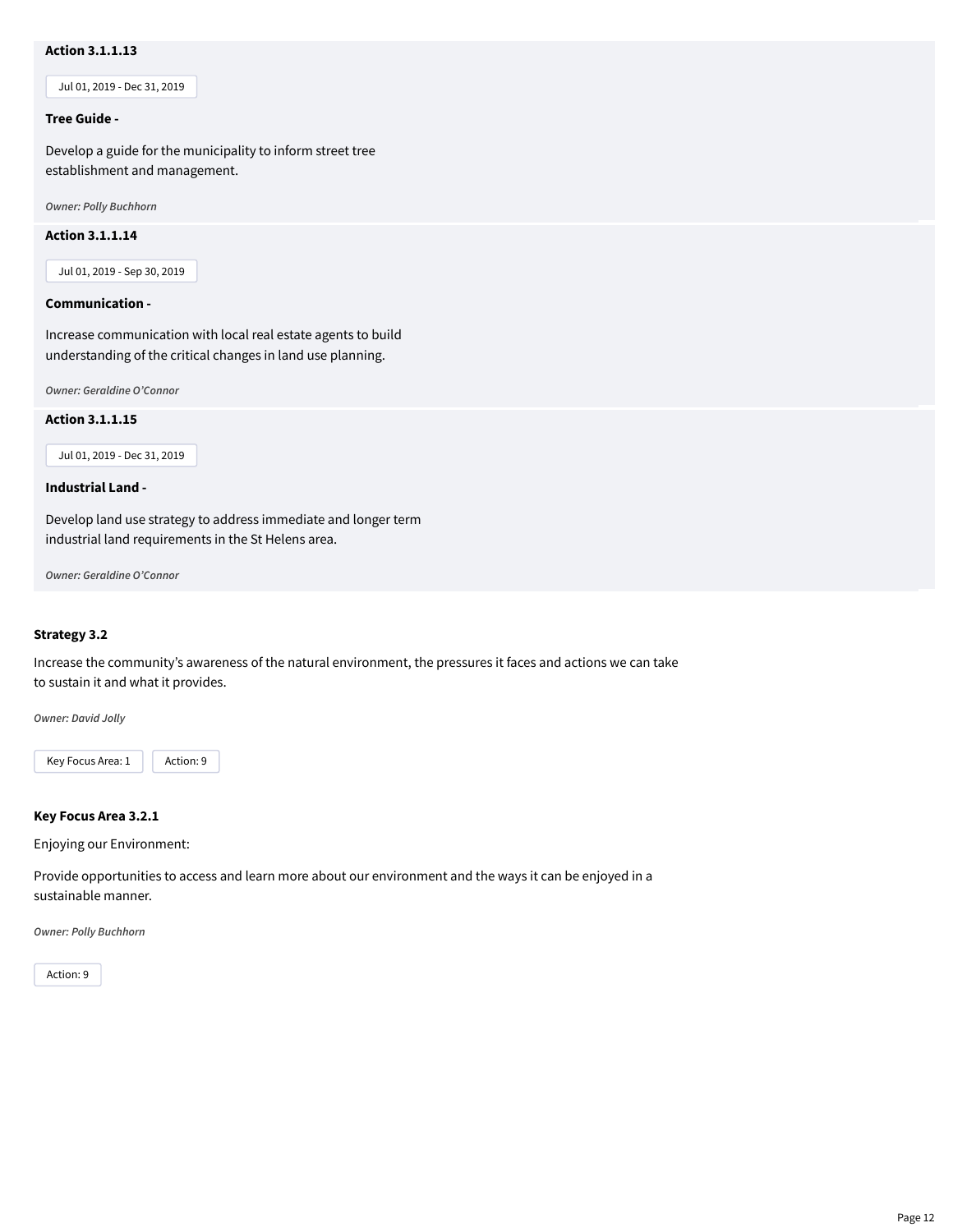# **Action 3.1.1.13**

Jul 01, 2019 - Dec 31, 2019

#### **Tree Guide -**

Develop a guide for the municipality to inform street tree establishment and management.

*Owner: Polly Buchhorn*

#### **Action 3.1.1.14**

Jul 01, 2019 - Sep 30, 2019

#### **Communication -**

Increase communication with local real estate agents to build understanding of the critical changes in land use planning.

*Owner: Geraldine O'Connor*

# **Action 3.1.1.15**

Jul 01, 2019 - Dec 31, 2019

#### **Industrial Land -**

Develop land use strategy to address immediate and longer term industrial land requirements in the St Helens area.

*Owner: Geraldine O'Connor*

# **Strategy 3.2**

Increase the community's awareness of the natural environment, the pressures it faces and actions we can take to sustain it and what it provides.

*Owner: David Jolly*

Key Focus Area: 1 | Action: 9

#### **Key Focus Area 3.2.1**

Enjoying our Environment:

Provide opportunities to access and learn more about our environment and the ways it can be enjoyed in a sustainable manner.

*Owner: Polly Buchhorn*

Action: 9

Page 12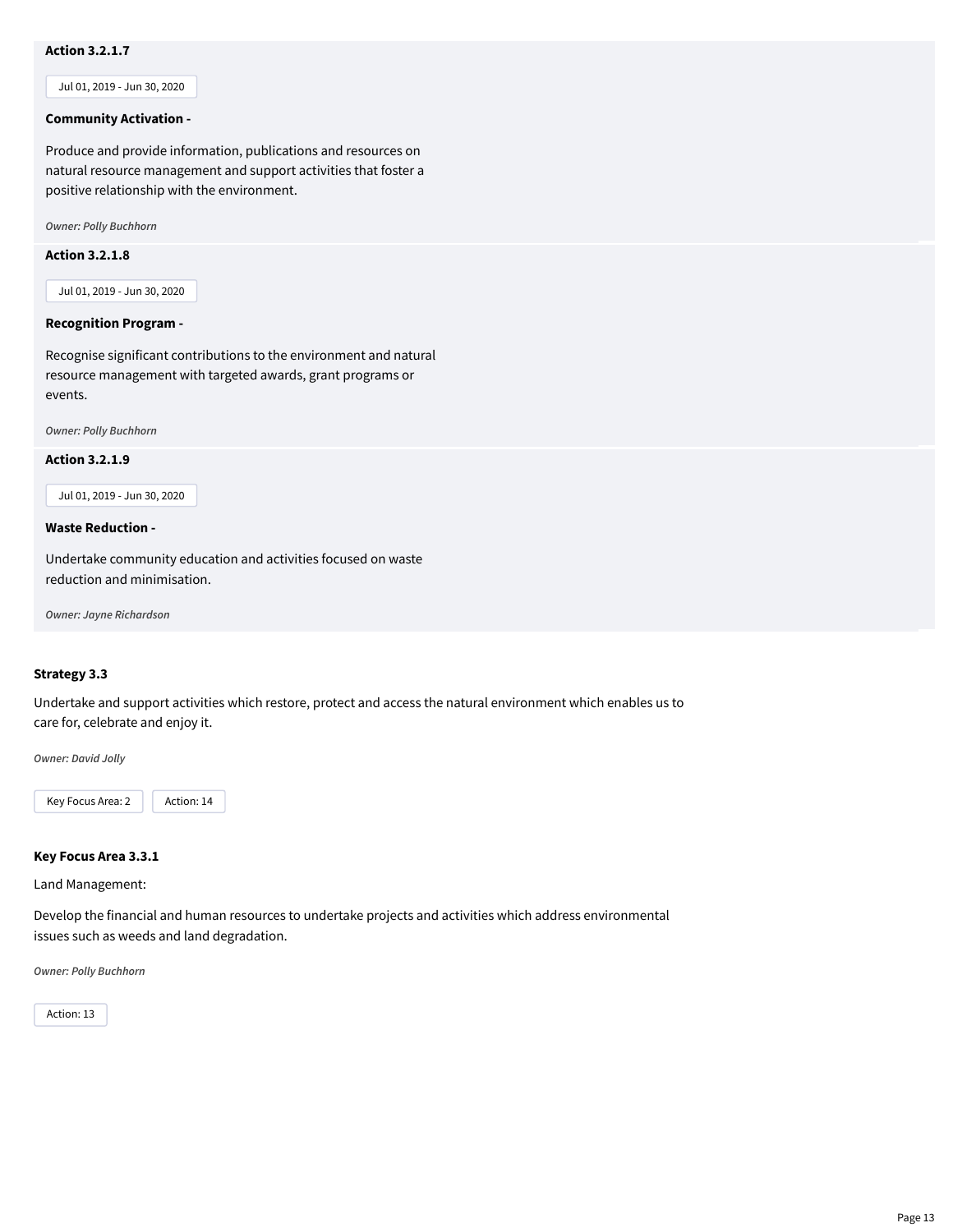# **Action 3.2.1.7**

Jul 01, 2019 - Jun 30, 2020

#### **Community Activation -**

Produce and provide information, publications and resources on natural resource management and support activities that foster a positive relationship with the environment.

*Owner: Polly Buchhorn*

# **Action 3.2.1.8**

Jul 01, 2019 - Jun 30, 2020

#### **Recognition Program -**

Recognise significant contributions to the environment and natural resource management with targeted awards, grant programs or events.

*Owner: Polly Buchhorn*

**Action 3.2.1.9**

Jul 01, 2019 - Jun 30, 2020

#### **Waste Reduction -**

Undertake community education and activities focused on waste reduction and minimisation.

*Owner: Jayne Richardson*

# **Strategy 3.3**

Undertake and support activities which restore, protect and access the natural environment which enables us to care for, celebrate and enjoy it.

*Owner: David Jolly*



#### **Key Focus Area 3.3.1**

Land Management:

Develop the financial and human resources to undertake projects and activities which address environmental issues such as weeds and land degradation.

*Owner: Polly Buchhorn*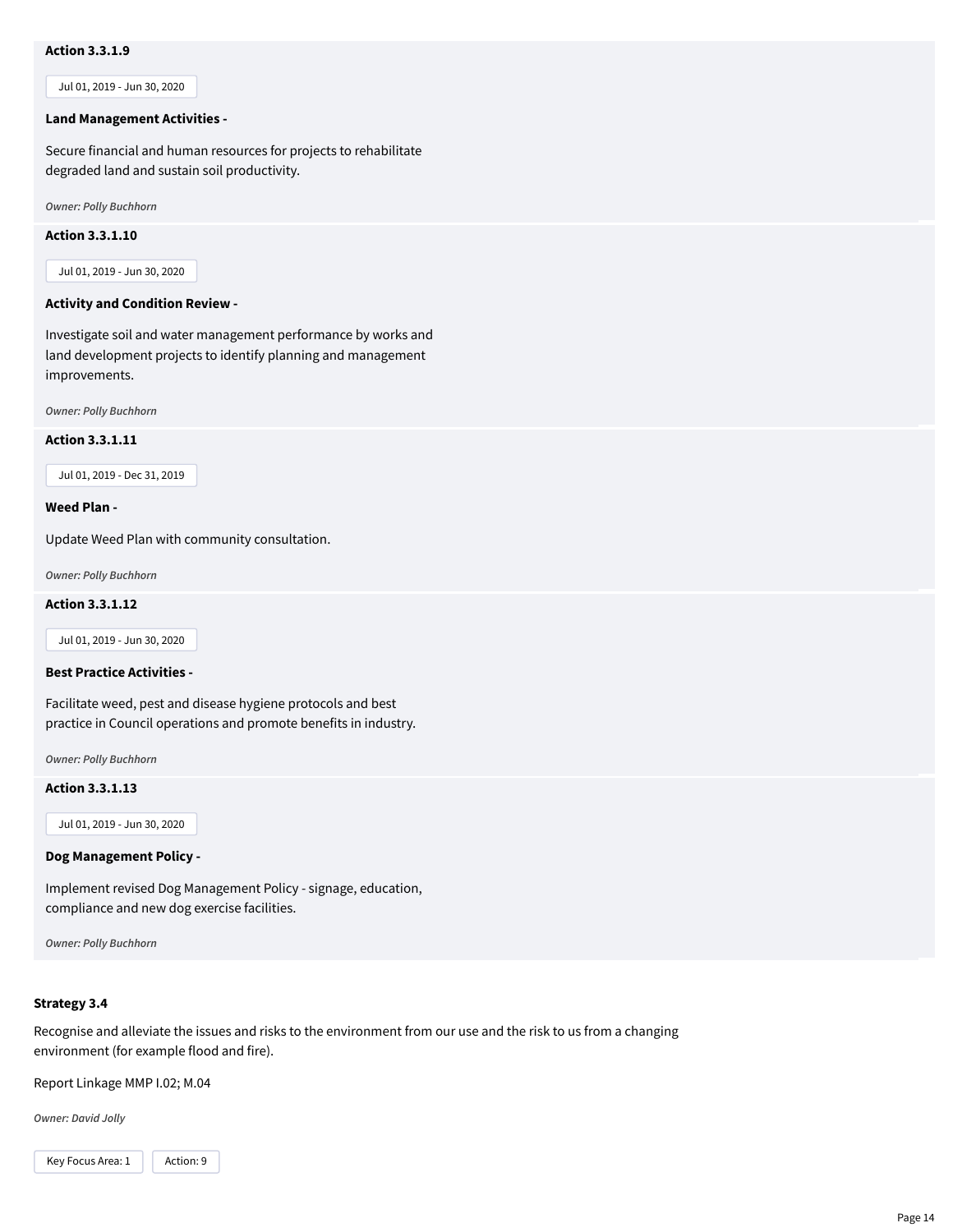# **Action 3.3.1.9**

Jul 01, 2019 - Jun 30, 2020

#### **Land Management Activities -**

Secure financial and human resources for projects to rehabilitate degraded land and sustain soil productivity.

*Owner: Polly Buchhorn*

#### **Action 3.3.1.10**

Jul 01, 2019 - Jun 30, 2020

#### **Activity and Condition Review -**

Investigate soil and water management performance by works and land development projects to identify planning and management improvements.

*Owner: Polly Buchhorn*

#### **Action 3.3.1.11**

Jul 01, 2019 - Dec 31, 2019

#### **Weed Plan -**

Update Weed Plan with community consultation.

*Owner: Polly Buchhorn*

#### **Action 3.3.1.12**

Jul 01, 2019 - Jun 30, 2020

# **Best Practice Activities -**

Facilitate weed, pest and disease hygiene protocols and best practice in Council operations and promote benefits in industry.

*Owner: Polly Buchhorn*

**Action 3.3.1.13**

Jul 01, 2019 - Jun 30, 2020

#### **Dog Management Policy -**

Implement revised Dog Management Policy - signage, education, compliance and new dog exercise facilities.

*Owner: Polly Buchhorn*

#### **Strategy 3.4**

Recognise and alleviate the issues and risks to the environment from our use and the risk to us from a changing environment (for example flood and fire).

Report Linkage MMP I.02; M.04

*Owner: David Jolly*

Key Focus Area: 1 | Action: 9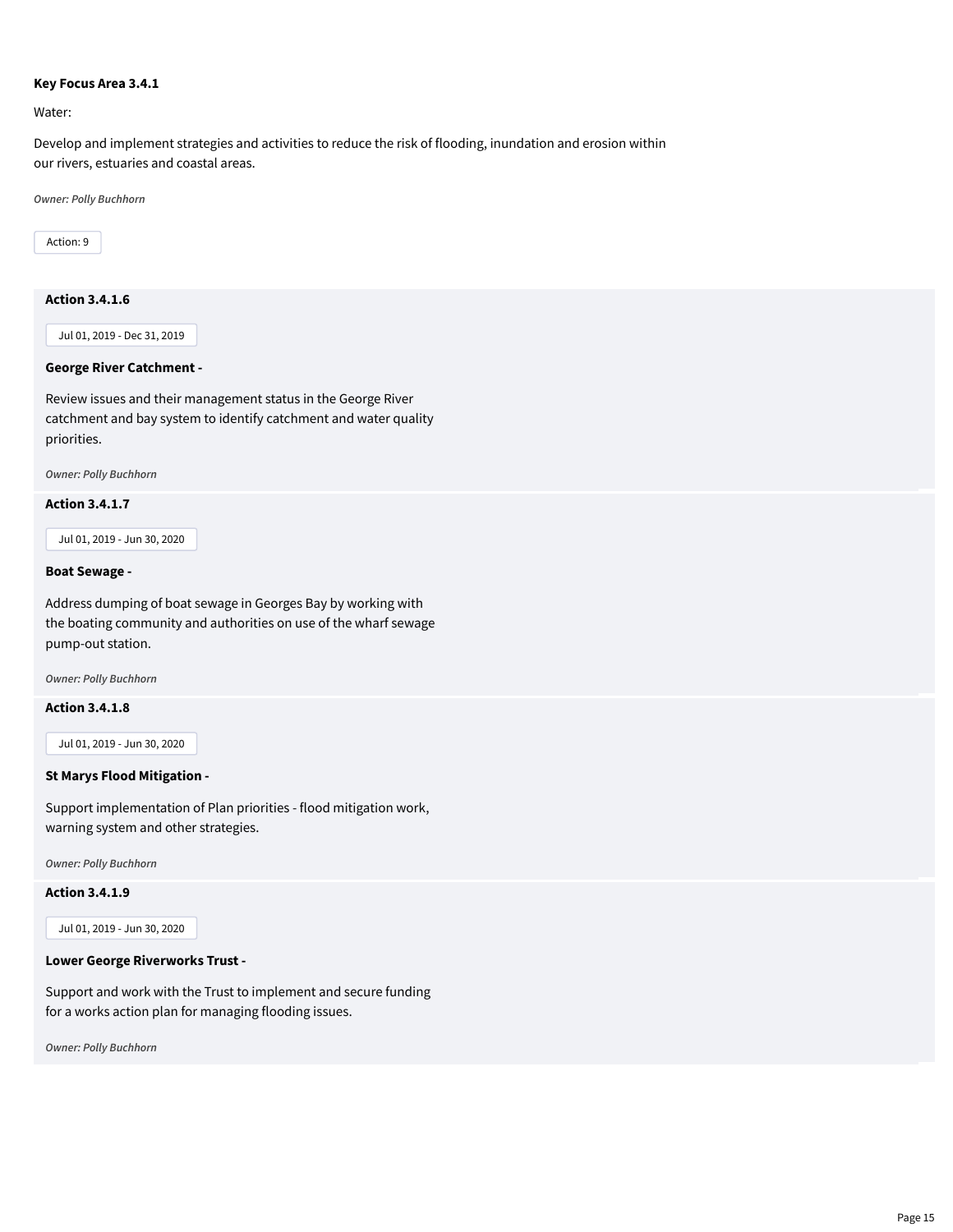#### **Key Focus Area 3.4.1**

Water:

Develop and implement strategies and activities to reduce the risk of flooding, inundation and erosion within our rivers, estuaries and coastal areas.

*Owner: Polly Buchhorn*

Action: 9

# **Action 3.4.1.6**

Jul 01, 2019 - Dec 31, 2019

#### **George River Catchment -**

Review issues and their management status in the George River catchment and bay system to identify catchment and water quality priorities.

*Owner: Polly Buchhorn*

# **Action 3.4.1.7**

Jul 01, 2019 - Jun 30, 2020

#### **Boat Sewage -**

Address dumping of boat sewage in Georges Bay by working with the boating community and authorities on use of the wharf sewage pump-out station.

*Owner: Polly Buchhorn*

#### **Action 3.4.1.8**

Jul 01, 2019 - Jun 30, 2020

#### **St Marys Flood Mitigation -**

Support implementation of Plan priorities - flood mitigation work, warning system and other strategies.

*Owner: Polly Buchhorn*

**Action 3.4.1.9**

Jul 01, 2019 - Jun 30, 2020

#### **Lower George Riverworks Trust -**

Support and work with the Trust to implement and secure funding for a works action plan for managing flooding issues.

*Owner: Polly Buchhorn*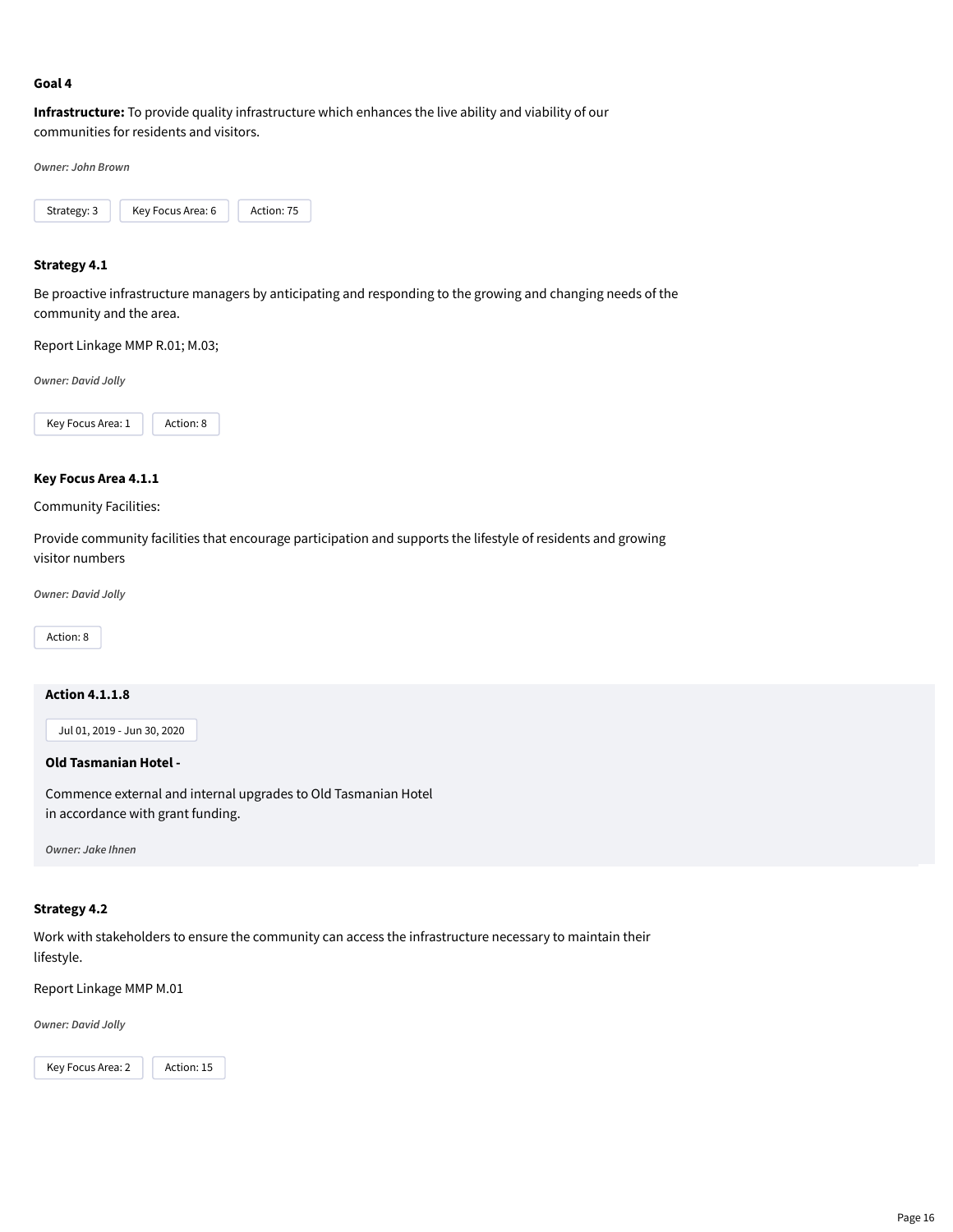### **Goal 4**

**Infrastructure:** To provide quality infrastructure which enhances the live ability and viability of our communities for residents and visitors.

*Owner: John Brown*



#### **Strategy 4.1**

Be proactive infrastructure managers by anticipating and responding to the growing and changing needs of the community and the area.

Report Linkage MMP R.01; M.03;

*Owner: David Jolly*



# **Key Focus Area 4.1.1**

#### Community Facilities:

Provide community facilities that encourage participation and supports the lifestyle of residents and growing visitor numbers

*Owner: David Jolly*

Action: 8

### **Action 4.1.1.8**

Jul 01, 2019 - Jun 30, 2020

#### **Old Tasmanian Hotel -**

Commence external and internal upgrades to Old Tasmanian Hotel in accordance with grant funding.

*Owner: Jake Ihnen*

#### **Strategy 4.2**

Work with stakeholders to ensure the community can access the infrastructure necessary to maintain their lifestyle.

Report Linkage MMP M.01

*Owner: David Jolly*

Key Focus Area: 2 | Action: 15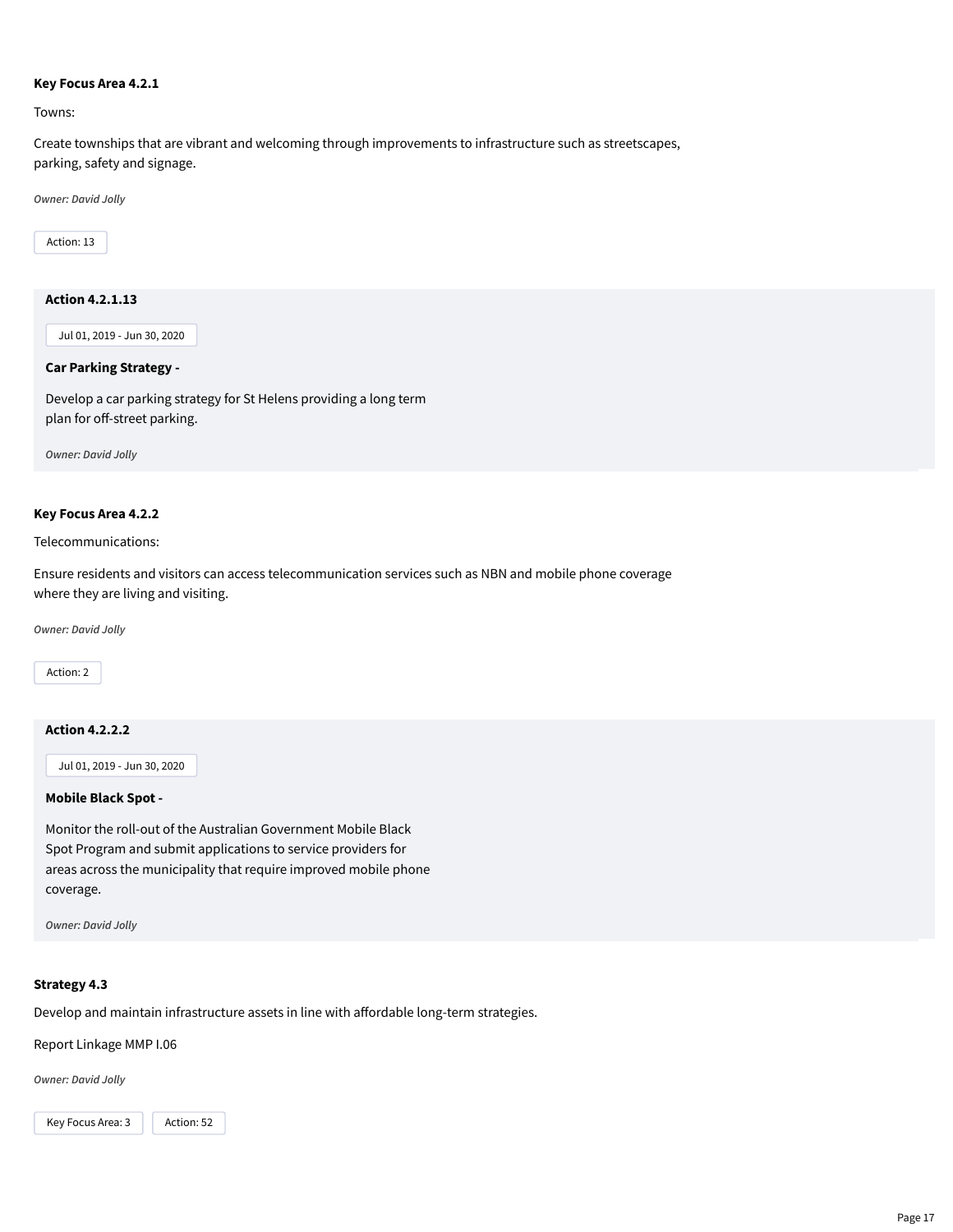#### **Key Focus Area 4.2.1**

Towns:

Create townships that are vibrant and welcoming through improvements to infrastructure such as streetscapes, parking, safety and signage.

*Owner: David Jolly*

Action: 13

# **Action 4.2.1.13**

Jul 01, 2019 - Jun 30, 2020

# **Car Parking Strategy -**

Develop a car parking strategy for St Helens providing a long term plan for off-street parking.

*Owner: David Jolly*

# **Key Focus Area 4.2.2**

Telecommunications:

Ensure residents and visitors can access telecommunication services such as NBN and mobile phone coverage where they are living and visiting.

*Owner: David Jolly*

Action: 2

# **Action 4.2.2.2**

Jul 01, 2019 - Jun 30, 2020

# **Mobile Black Spot -**

Monitor the roll-out of the Australian Government Mobile Black Spot Program and submit applications to service providers for areas across the municipality that require improved mobile phone coverage.

*Owner: David Jolly*

# **Strategy 4.3**

Develop and maintain infrastructure assets in line with affordable long-term strategies.

Report Linkage MMP I.06

*Owner: David Jolly*

Key Focus Area: 3 | Action: 52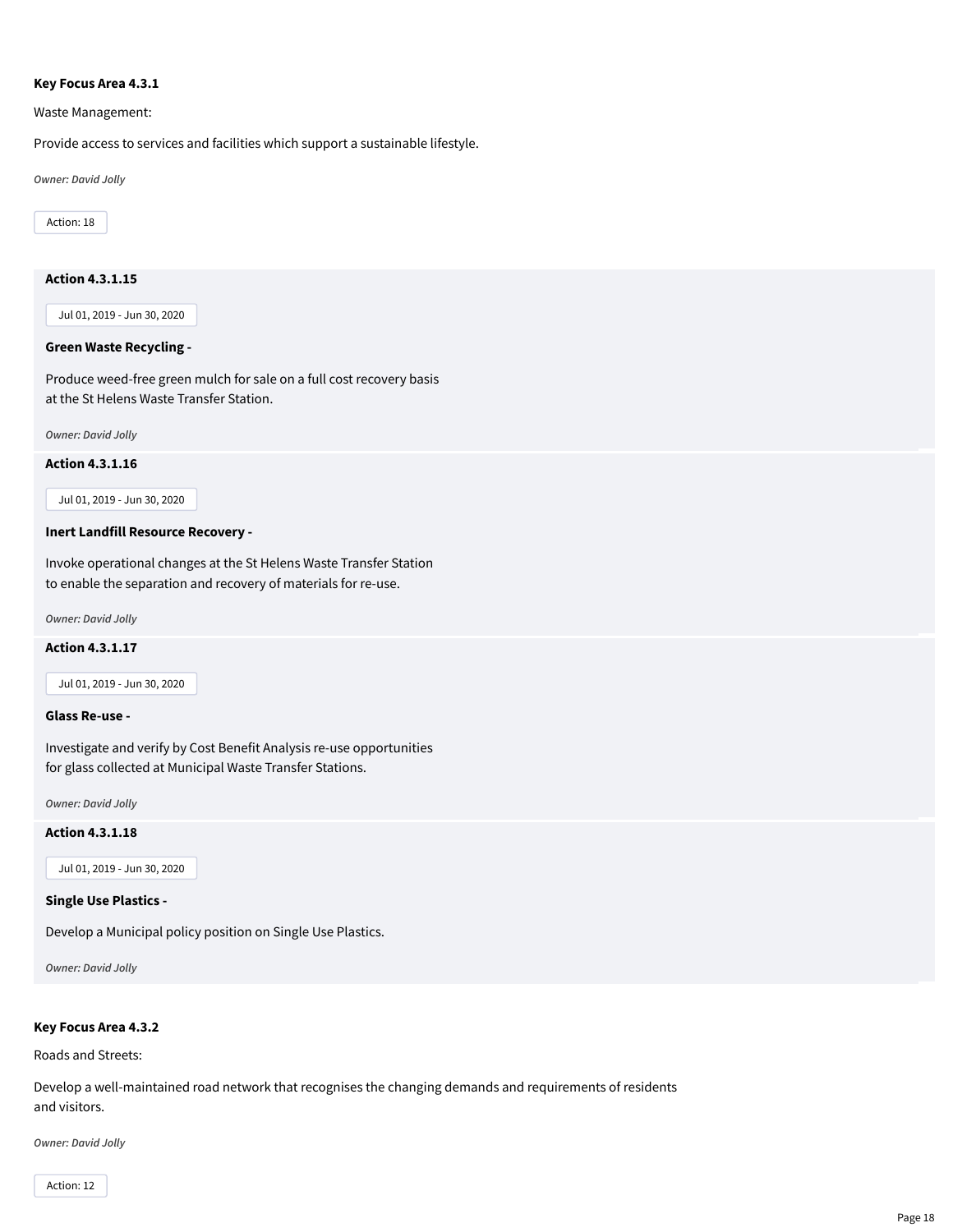#### **Key Focus Area 4.3.1**

Waste Management:

Provide access to services and facilities which support a sustainable lifestyle.

*Owner: David Jolly*

Action: 18

# **Action 4.3.1.15**

Jul 01, 2019 - Jun 30, 2020

#### **Green Waste Recycling -**

Produce weed-free green mulch for sale on a full cost recovery basis at the St Helens Waste Transfer Station.

*Owner: David Jolly*

#### **Action 4.3.1.16**

Jul 01, 2019 - Jun 30, 2020

# **Inert Landfill Resource Recovery -**

Invoke operational changes at the St Helens Waste Transfer Station to enable the separation and recovery of materials for re-use.

*Owner: David Jolly*

#### **Action 4.3.1.17**

Jul 01, 2019 - Jun 30, 2020

#### **Glass Re-use -**

Investigate and verify by Cost Benefit Analysis re-use opportunities for glass collected at Municipal Waste Transfer Stations.

*Owner: David Jolly*

#### **Action 4.3.1.18**

Jul 01, 2019 - Jun 30, 2020

#### **Single Use Plastics -**

Develop a Municipal policy position on Single Use Plastics.

*Owner: David Jolly*

# **Key Focus Area 4.3.2**

Roads and Streets:

Develop a well-maintained road network that recognises the changing demands and requirements of residents and visitors.

*Owner: David Jolly*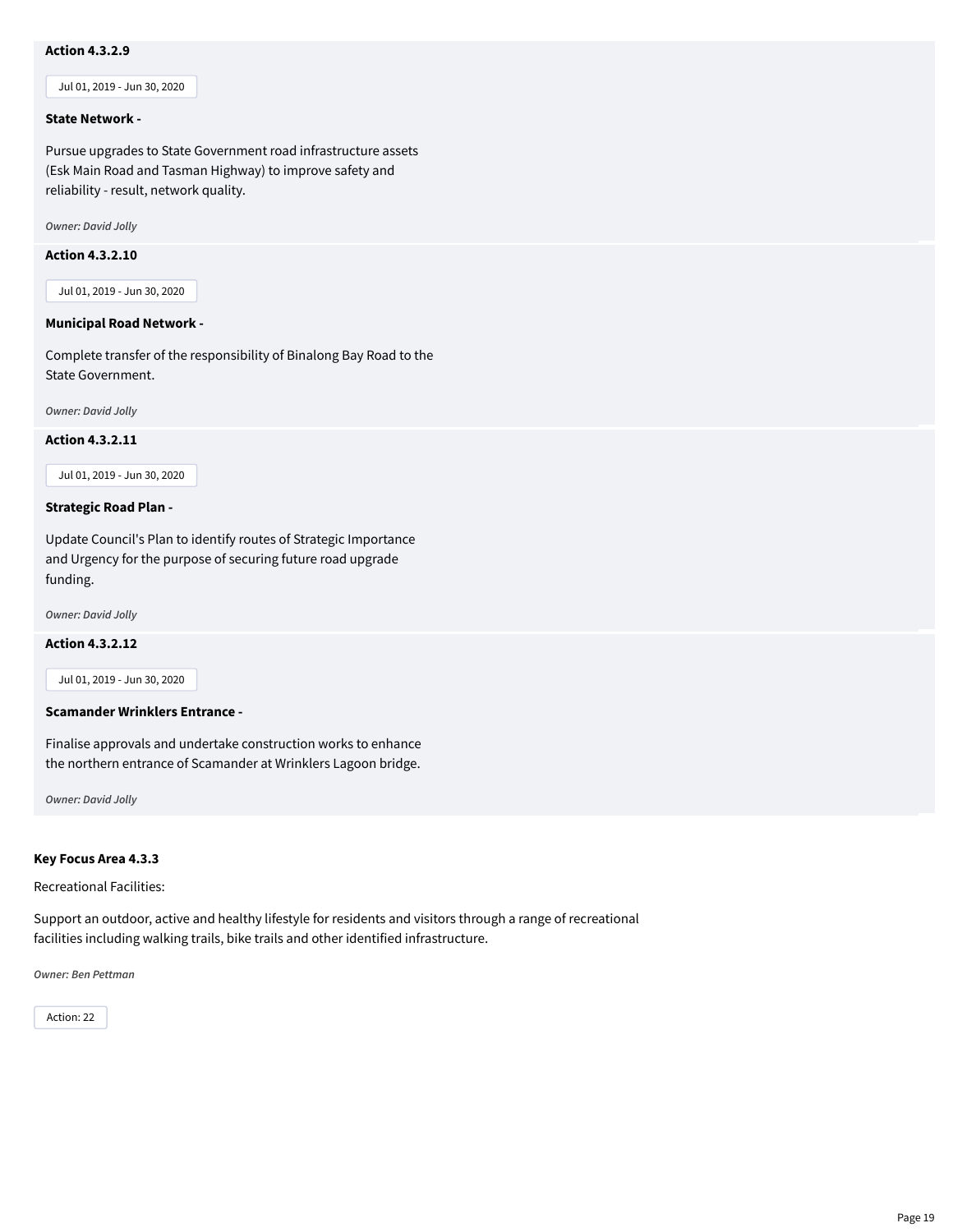# **Action 4.3.2.9**

Jul 01, 2019 - Jun 30, 2020

#### **State Network -**

Pursue upgrades to State Government road infrastructure assets (Esk Main Road and Tasman Highway) to improve safety and reliability - result, network quality.

*Owner: David Jolly*

# **Action 4.3.2.10**

Jul 01, 2019 - Jun 30, 2020

#### **Municipal Road Network -**

Complete transfer of the responsibility of Binalong Bay Road to the State Government.

*Owner: David Jolly*

#### **Action 4.3.2.11**

Jul 01, 2019 - Jun 30, 2020

#### **Strategic Road Plan -**

Update Council's Plan to identify routes of Strategic Importance and Urgency for the purpose of securing future road upgrade funding.

*Owner: David Jolly*

#### **Action 4.3.2.12**

Jul 01, 2019 - Jun 30, 2020

#### **Scamander Wrinklers Entrance -**

Finalise approvals and undertake construction works to enhance the northern entrance of Scamander at Wrinklers Lagoon bridge.

*Owner: David Jolly*

#### **Key Focus Area 4.3.3**

Recreational Facilities:

Support an outdoor, active and healthy lifestyle for residents and visitors through a range of recreational facilities including walking trails, bike trails and other identified infrastructure.

*Owner: Ben Pettman*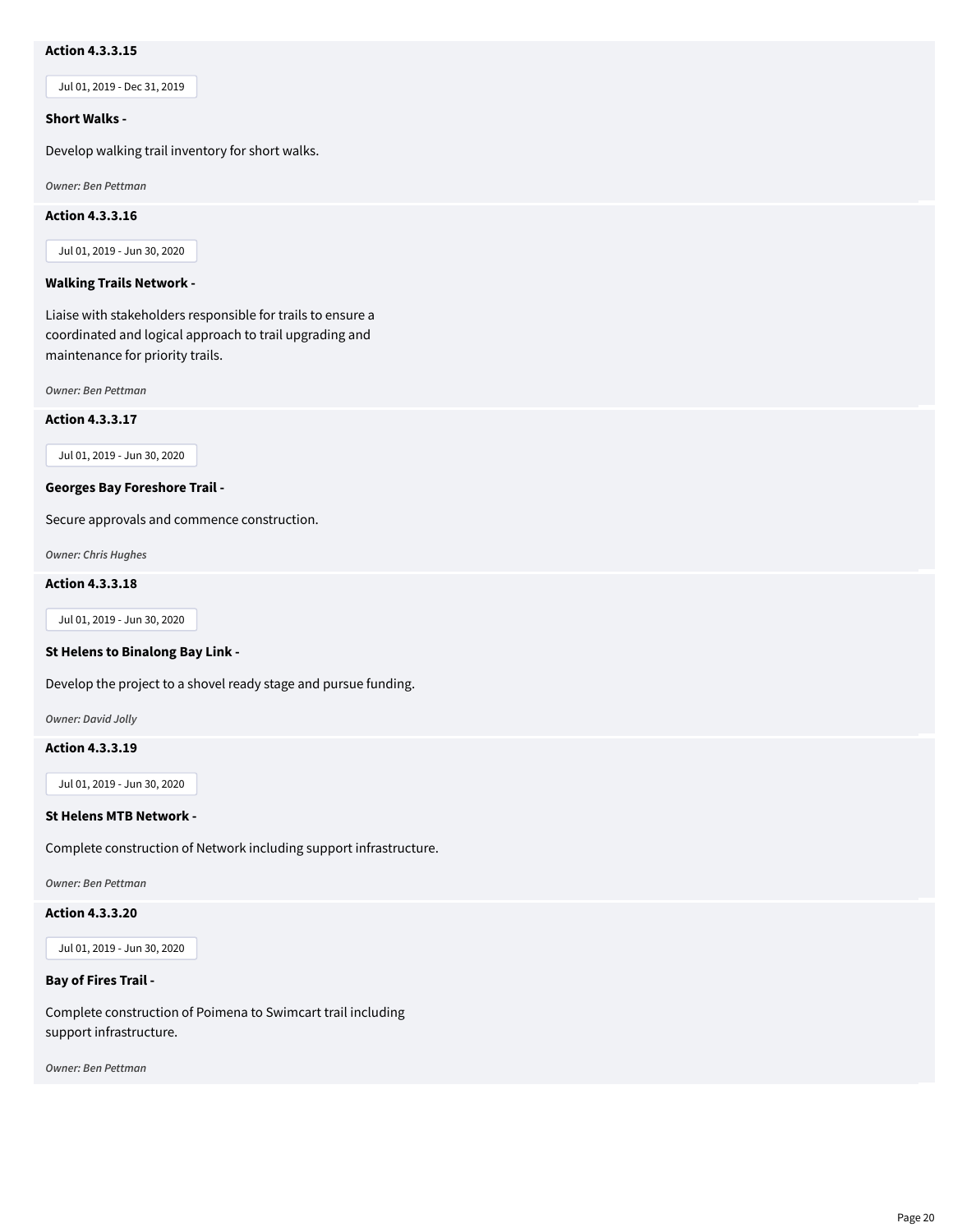# **Action 4.3.3.15**

Jul 01, 2019 - Dec 31, 2019

#### **Short Walks -**

Develop walking trail inventory for short walks.

*Owner: Ben Pettman*

#### **Action 4.3.3.16**

Jul 01, 2019 - Jun 30, 2020

#### **Walking Trails Network -**

Liaise with stakeholders responsible for trails to ensure a coordinated and logical approach to trail upgrading and maintenance for priority trails.

*Owner: Ben Pettman*

**Action 4.3.3.17**

Jul 01, 2019 - Jun 30, 2020

#### **Georges Bay Foreshore Trail -**

Secure approvals and commence construction.

*Owner: Chris Hughes*

# **Action 4.3.3.18**

Jul 01, 2019 - Jun 30, 2020

#### **St Helens to Binalong Bay Link -**

Develop the project to a shovel ready stage and pursue funding.

*Owner: David Jolly*

#### **Action 4.3.3.19**

Jul 01, 2019 - Jun 30, 2020

#### **St Helens MTB Network -**

Complete construction of Network including support infrastructure.

*Owner: Ben Pettman*

# **Action 4.3.3.20**

Jul 01, 2019 - Jun 30, 2020

# **Bay of Fires Trail -**

Complete construction of Poimena to Swimcart trail including support infrastructure.

*Owner: Ben Pettman*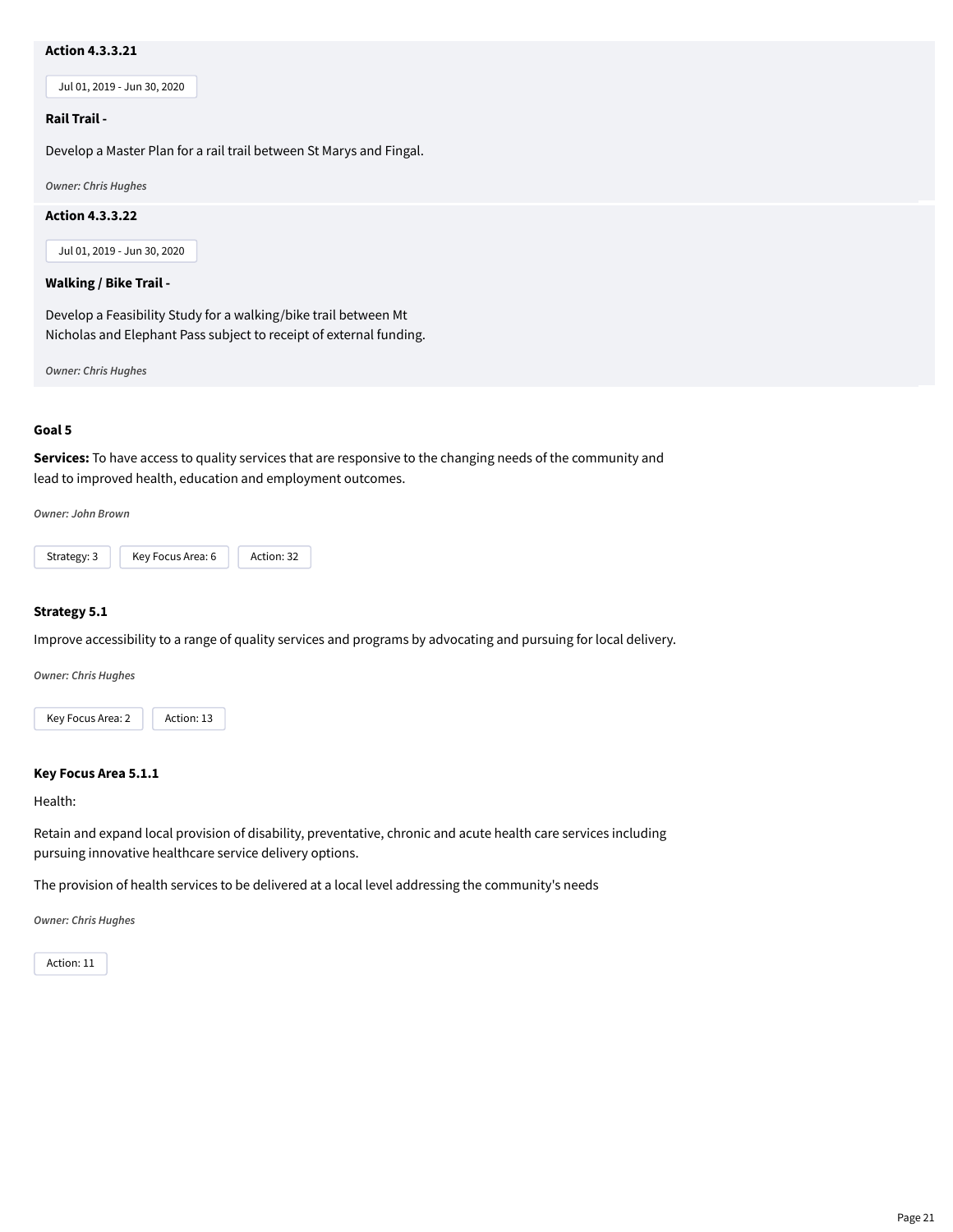# **Action 4.3.3.21**

Jul 01, 2019 - Jun 30, 2020

#### **Rail Trail -**

Develop a Master Plan for a rail trail between St Marys and Fingal.

*Owner: Chris Hughes*

#### **Action 4.3.3.22**

Jul 01, 2019 - Jun 30, 2020

#### **Walking / Bike Trail -**

Develop a Feasibility Study for a walking/bike trail between Mt Nicholas and Elephant Pass subject to receipt of external funding.

*Owner: Chris Hughes*

#### **Goal 5**

**Services:** To have access to quality services that are responsive to the changing needs of the community and lead to improved health, education and employment outcomes.

*Owner: John Brown*



#### **Strategy 5.1**

Improve accessibility to a range of quality services and programs by advocating and pursuing for local delivery.

*Owner: Chris Hughes*



#### **Key Focus Area 5.1.1**

Health:

Retain and expand local provision of disability, preventative, chronic and acute health care services including pursuing innovative healthcare service delivery options.

The provision of health services to be delivered at a local level addressing the community's needs

*Owner: Chris Hughes*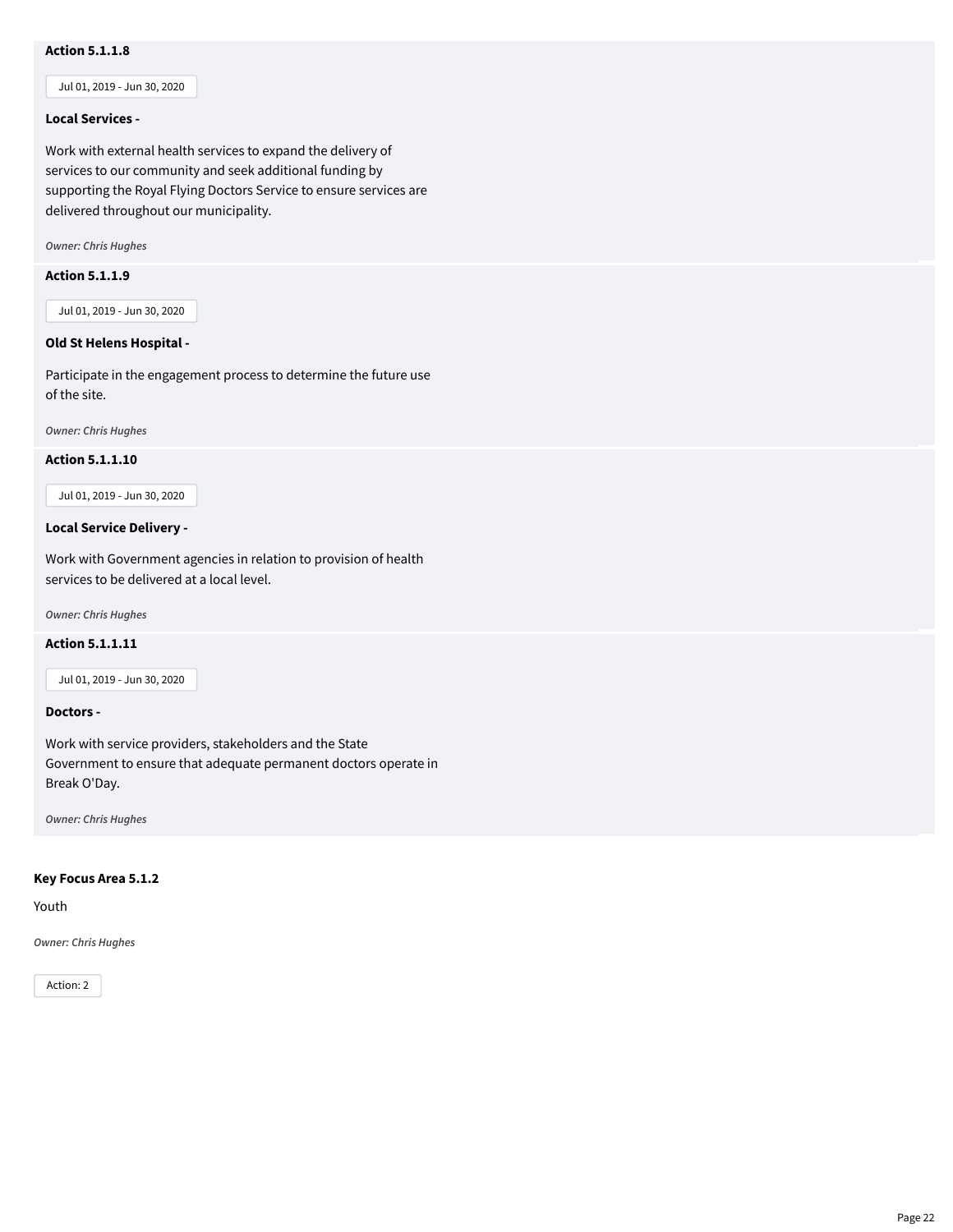# **Action 5.1.1.8**

Jul 01, 2019 - Jun 30, 2020

#### **Local Services -**

Work with external health services to expand the delivery of services to our community and seek additional funding by supporting the Royal Flying Doctors Service to ensure services are delivered throughout our municipality.

*Owner: Chris Hughes*

#### **Action 5.1.1.9**

Jul 01, 2019 - Jun 30, 2020

# **Old St Helens Hospital -**

Participate in the engagement process to determine the future use of the site.

*Owner: Chris Hughes*

#### **Action 5.1.1.10**

Jul 01, 2019 - Jun 30, 2020

#### **Local Service Delivery -**

Work with Government agencies in relation to provision of health services to be delivered at a local level.

*Owner: Chris Hughes*

#### **Action 5.1.1.11**

Jul 01, 2019 - Jun 30, 2020

#### **Doctors -**

Work with service providers, stakeholders and the State Government to ensure that adequate permanent doctors operate in Break O'Day.

*Owner: Chris Hughes*

# **Key Focus Area 5.1.2**

Youth

*Owner: Chris Hughes*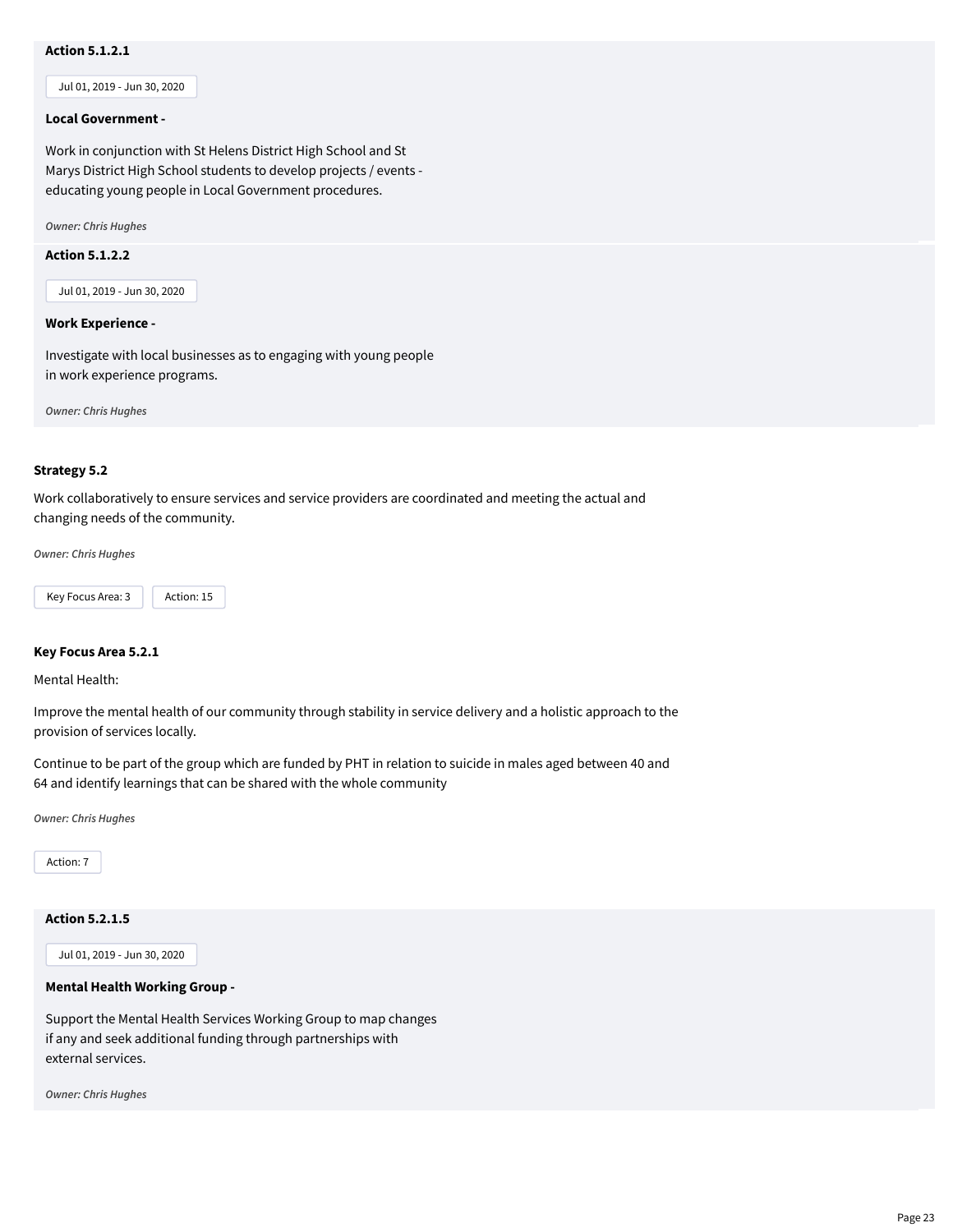# **Action 5.1.2.1**

Jul 01, 2019 - Jun 30, 2020

#### **Local Government -**

Work in conjunction with St Helens District High School and St Marys District High School students to develop projects / events educating young people in Local Government procedures.

*Owner: Chris Hughes*

# **Action 5.1.2.2**

Jul 01, 2019 - Jun 30, 2020

#### **Work Experience -**

Investigate with local businesses as to engaging with young people in work experience programs.

*Owner: Chris Hughes*

# **Strategy 5.2**

Work collaboratively to ensure services and service providers are coordinated and meeting the actual and changing needs of the community.

*Owner: Chris Hughes*



#### **Key Focus Area 5.2.1**

Mental Health:

Improve the mental health of our community through stability in service delivery and a holistic approach to the provision of services locally.

Continue to be part of the group which are funded by PHT in relation to suicide in males aged between 40 and 64 and identify learnings that can be shared with the whole community

*Owner: Chris Hughes*

Action: 7

# **Action 5.2.1.5**

Jul 01, 2019 - Jun 30, 2020

# **Mental Health Working Group -**

Support the Mental Health Services Working Group to map changes if any and seek additional funding through partnerships with external services.

*Owner: Chris Hughes*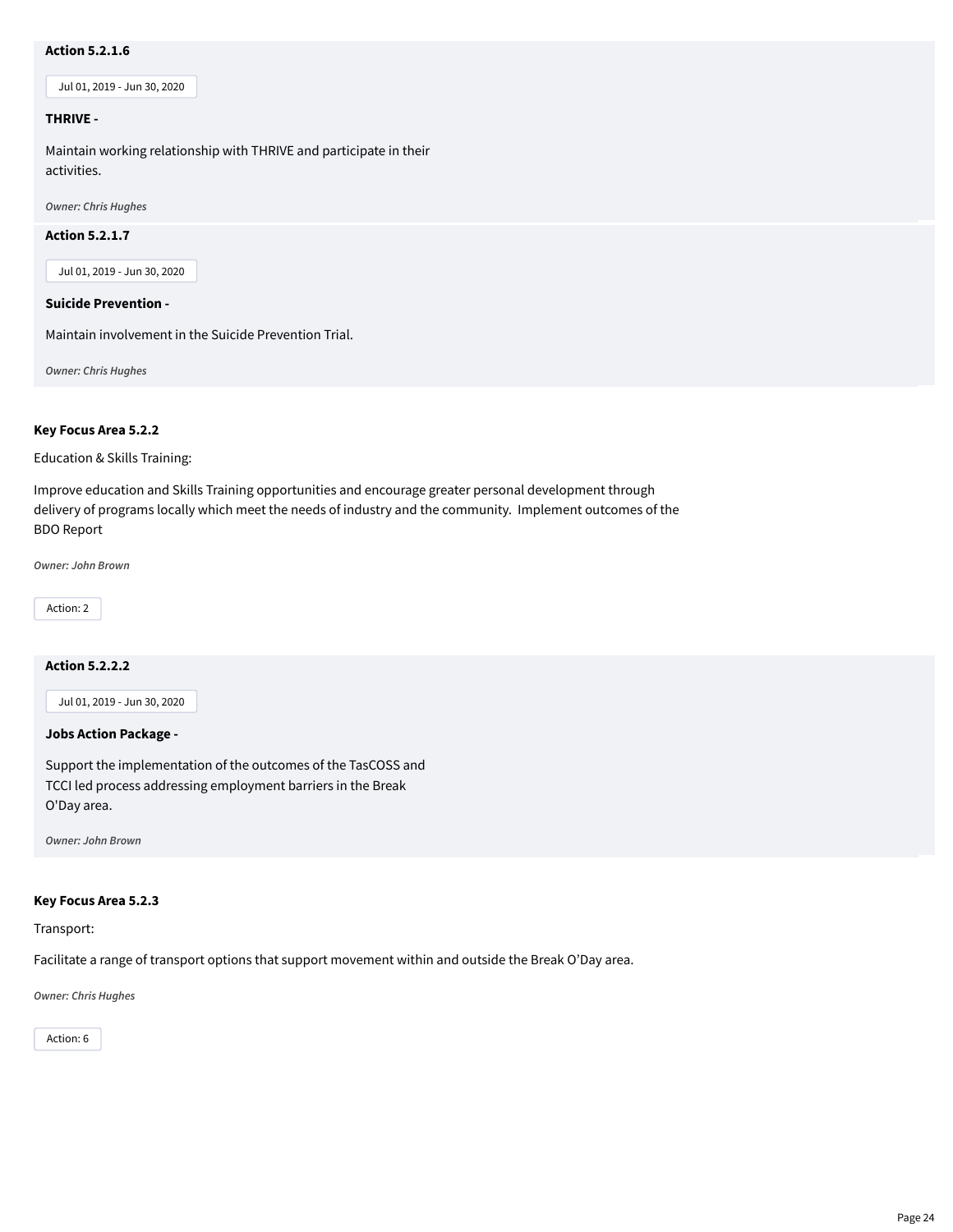# **Action 5.2.1.6**

Jul 01, 2019 - Jun 30, 2020

#### **THRIVE -**

Maintain working relationship with THRIVE and participate in their activities.

*Owner: Chris Hughes*

#### **Action 5.2.1.7**

Jul 01, 2019 - Jun 30, 2020

# **Suicide Prevention -**

Maintain involvement in the Suicide Prevention Trial.

*Owner: Chris Hughes*

#### **Key Focus Area 5.2.2**

Education & Skills Training:

Improve education and Skills Training opportunities and encourage greater personal development through delivery of programs locally which meet the needs of industry and the community. Implement outcomes of the BDO Report

*Owner: John Brown*

Action: 2

# **Action 5.2.2.2**

Jul 01, 2019 - Jun 30, 2020

# **Jobs Action Package -**

Support the implementation of the outcomes of the TasCOSS and TCCI led process addressing employment barriers in the Break O'Day area.

*Owner: John Brown*

#### **Key Focus Area 5.2.3**

Transport:

Facilitate a range of transport options that support movement within and outside the Break O'Day area.

*Owner: Chris Hughes*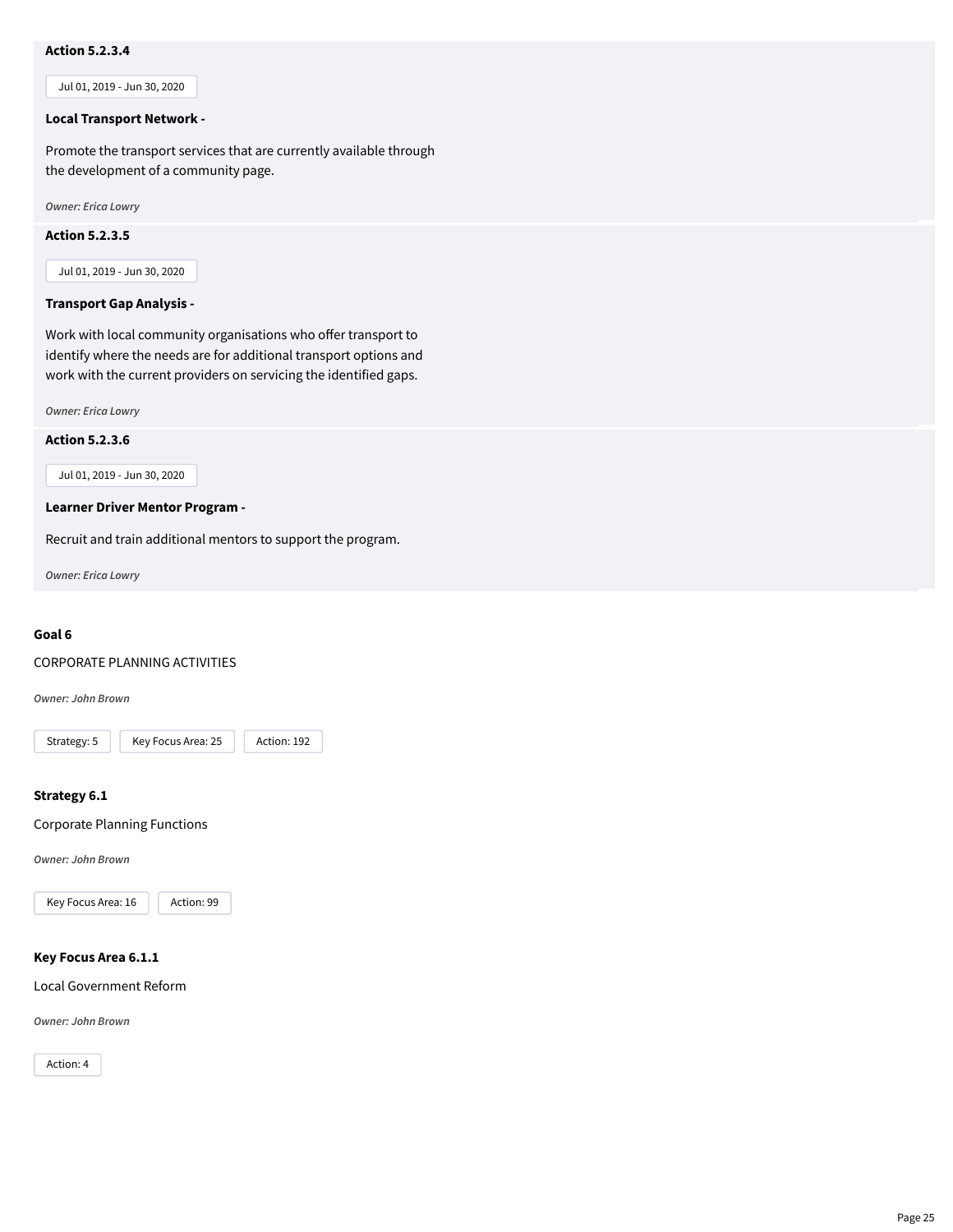# **Action 5.2.3.4**

Jul 01, 2019 - Jun 30, 2020

#### **Local Transport Network -**

Promote the transport services that are currently available through the development of a community page.

*Owner: Erica Lowry*

#### **Action 5.2.3.5**

Jul 01, 2019 - Jun 30, 2020

#### **Transport Gap Analysis -**

Work with local community organisations who offer transport to identify where the needs are for additional transport options and work with the current providers on servicing the identified gaps.

*Owner: Erica Lowry*

#### **Action 5.2.3.6**

Jul 01, 2019 - Jun 30, 2020

#### **Learner Driver Mentor Program -**

Recruit and train additional mentors to support the program.

*Owner: Erica Lowry*

# **Goal 6**

#### CORPORATE PLANNING ACTIVITIES

*Owner: John Brown*



#### **Strategy 6.1**

Corporate Planning Functions

*Owner: John Brown*



# **Key Focus Area 6.1.1**

Local Government Reform

*Owner: John Brown*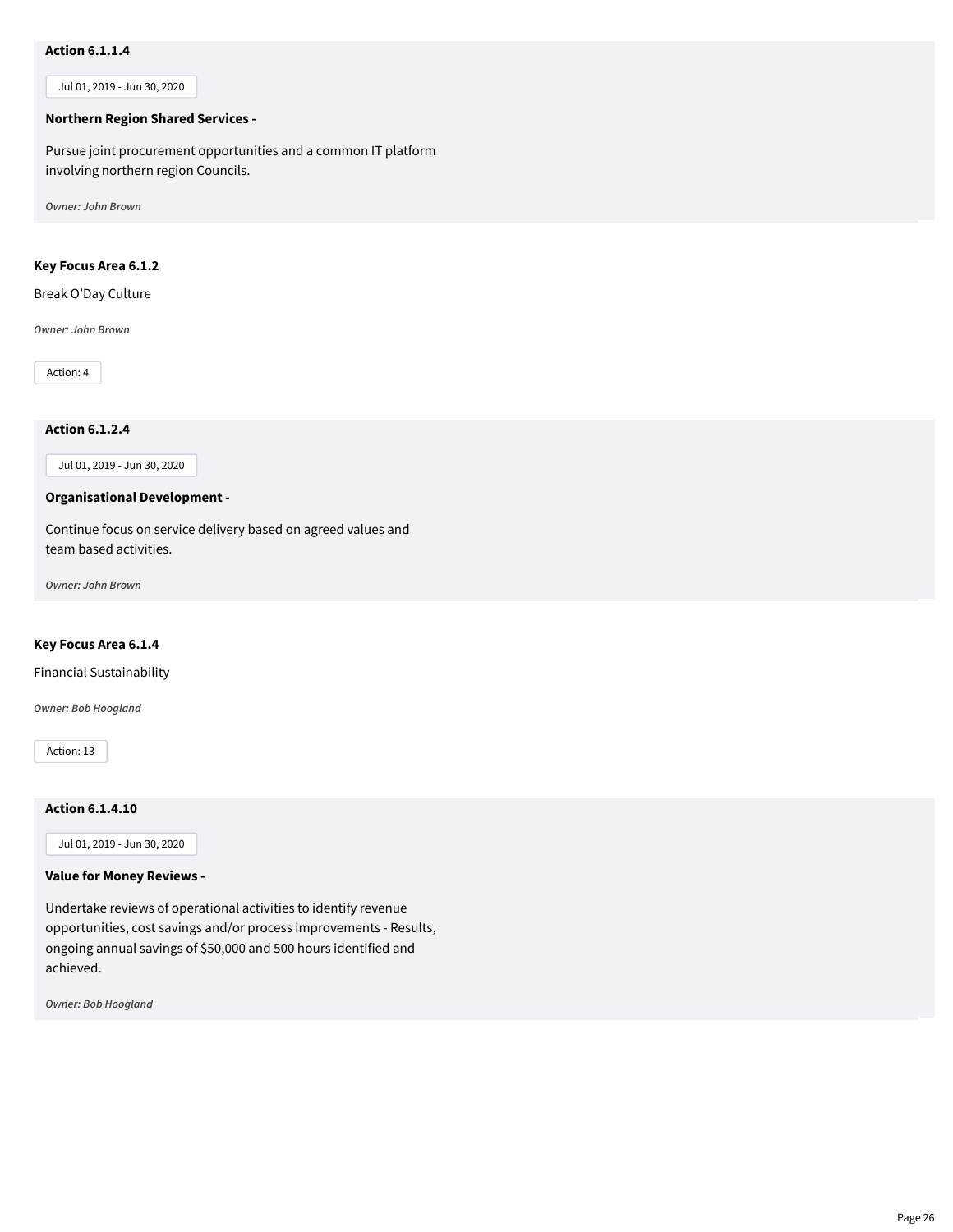# **Action 6.1.1.4**

Jul 01, 2019 - Jun 30, 2020

#### **Northern Region Shared Services -**

Pursue joint procurement opportunities and a common IT platform involving northern region Councils.

*Owner: John Brown*

# **Key Focus Area 6.1.2**

Break O'Day Culture

*Owner: John Brown*

Action: 4

# **Action 6.1.2.4**

Jul 01, 2019 - Jun 30, 2020

# **Organisational Development -**

Continue focus on service delivery based on agreed values and team based activities.

*Owner: John Brown*

#### **Key Focus Area 6.1.4**

Financial Sustainability

*Owner: Bob Hoogland*

Action: 13

#### **Action 6.1.4.10**

Jul 01, 2019 - Jun 30, 2020

#### **Value for Money Reviews -**

Undertake reviews of operational activities to identify revenue opportunities, cost savings and/or process improvements - Results, ongoing annual savings of \$50,000 and 500 hours identified and achieved.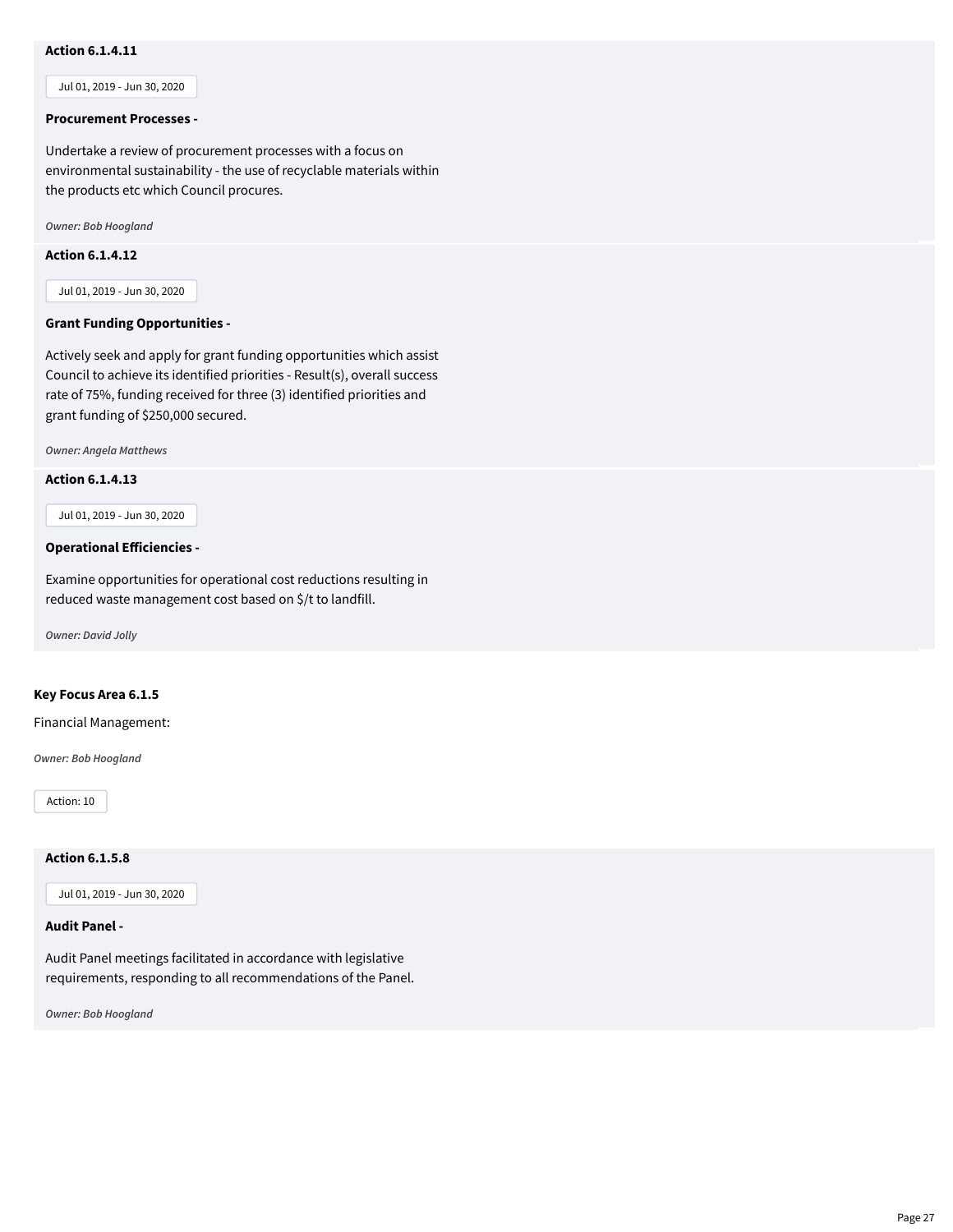# **Action 6.1.4.11**

Jul 01, 2019 - Jun 30, 2020

#### **Procurement Processes -**

Undertake a review of procurement processes with a focus on environmental sustainability - the use of recyclable materials within the products etc which Council procures.

*Owner: Bob Hoogland*

# **Action 6.1.4.12**

Jul 01, 2019 - Jun 30, 2020

#### **Grant Funding Opportunities -**

Actively seek and apply for grant funding opportunities which assist Council to achieve its identified priorities - Result(s), overall success rate of 75%, funding received for three (3) identified priorities and grant funding of \$250,000 secured.

*Owner: Angela Matthews*

#### **Action 6.1.4.13**

Jul 01, 2019 - Jun 30, 2020

#### **Operational Efficiencies -**

Examine opportunities for operational cost reductions resulting in reduced waste management cost based on \$/t to landfill.

*Owner: David Jolly*

#### **Key Focus Area 6.1.5**

Financial Management:

*Owner: Bob Hoogland*

Action: 10

# **Action 6.1.5.8**

Jul 01, 2019 - Jun 30, 2020

# **Audit Panel -**

Audit Panel meetings facilitated in accordance with legislative requirements, responding to all recommendations of the Panel.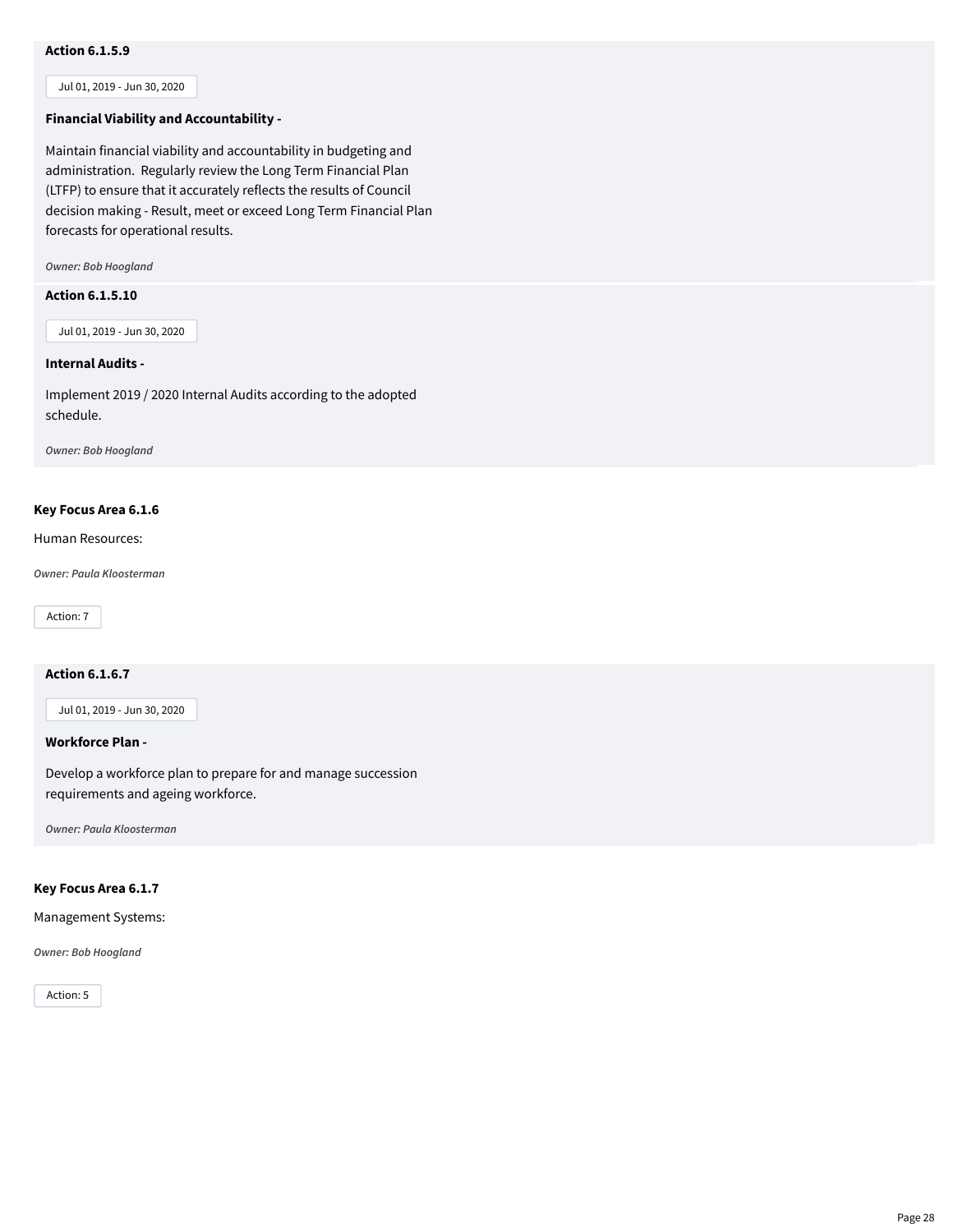# **Action 6.1.5.9**

Jul 01, 2019 - Jun 30, 2020

# **Financial Viability and Accountability -**

Maintain financial viability and accountability in budgeting and administration. Regularly review the Long Term Financial Plan (LTFP) to ensure that it accurately reflects the results of Council decision making - Result, meet or exceed Long Term Financial Plan forecasts for operational results.

*Owner: Bob Hoogland*

#### **Action 6.1.5.10**

Jul 01, 2019 - Jun 30, 2020

#### **Internal Audits -**

Implement 2019 / 2020 Internal Audits according to the adopted schedule.

*Owner: Bob Hoogland*

#### **Key Focus Area 6.1.6**

Human Resources:

*Owner: Paula Kloosterman*

Action: 7

#### **Action 6.1.6.7**

Jul 01, 2019 - Jun 30, 2020

#### **Workforce Plan -**

Develop a workforce plan to prepare for and manage succession requirements and ageing workforce.

*Owner: Paula Kloosterman*

# **Key Focus Area 6.1.7**

Management Systems:

#### *Owner: Bob Hoogland*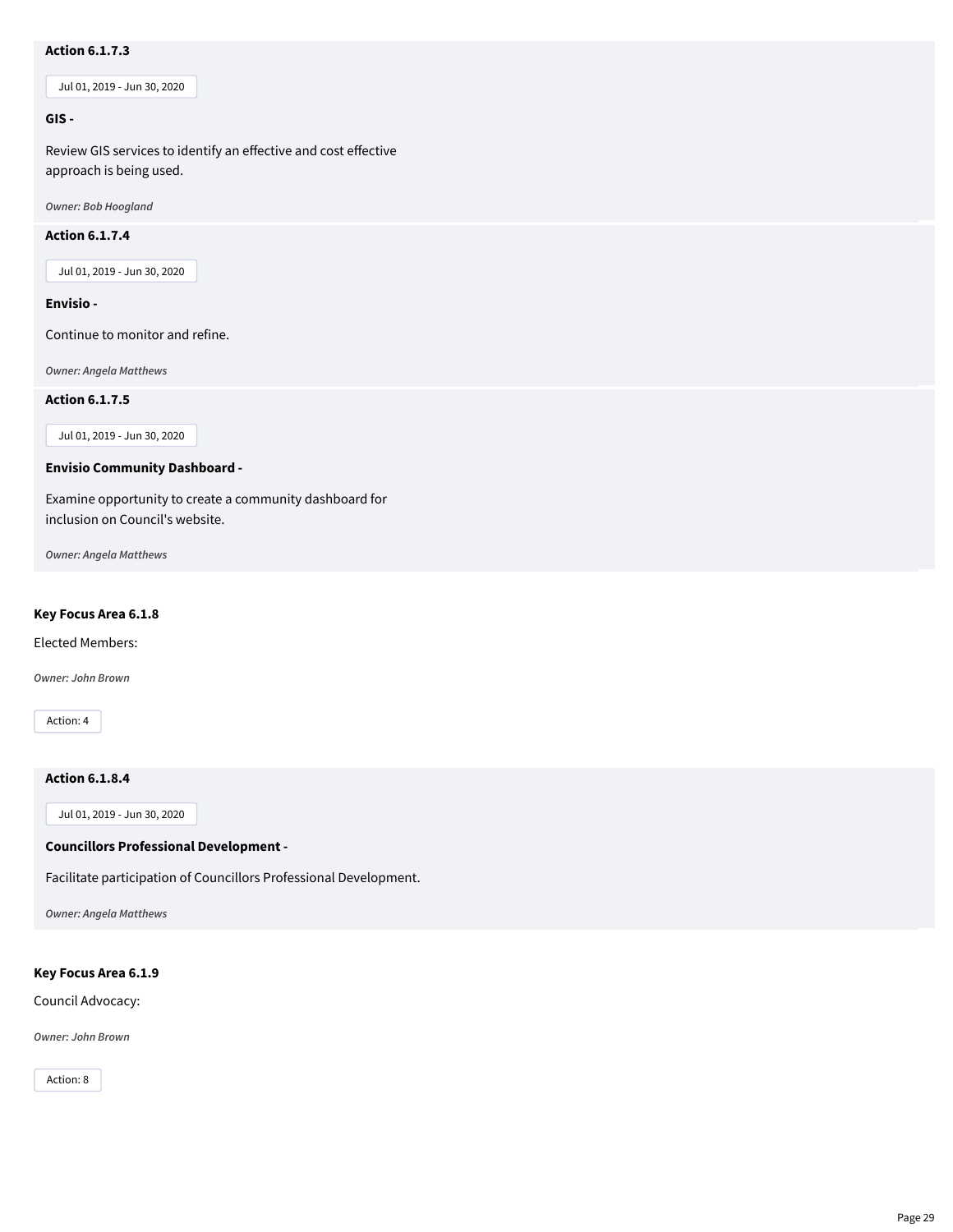# **Action 6.1.7.3**

Jul 01, 2019 - Jun 30, 2020

# **GIS -**

Review GIS services to identify an effective and cost effective approach is being used.

*Owner: Bob Hoogland*

# **Action 6.1.7.4**

Jul 01, 2019 - Jun 30, 2020

#### **Envisio -**

Continue to monitor and refine.

*Owner: Angela Matthews*

**Action 6.1.7.5**

Jul 01, 2019 - Jun 30, 2020

#### **Envisio Community Dashboard -**

Examine opportunity to create a community dashboard for inclusion on Council's website.

*Owner: Angela Matthews*

# **Key Focus Area 6.1.8**

Elected Members:

*Owner: John Brown*

Action: 4

# **Action 6.1.8.4**

Jul 01, 2019 - Jun 30, 2020

# **Councillors Professional Development -**

Facilitate participation of Councillors Professional Development.

*Owner: Angela Matthews*

#### **Key Focus Area 6.1.9**

Council Advocacy:

*Owner: John Brown*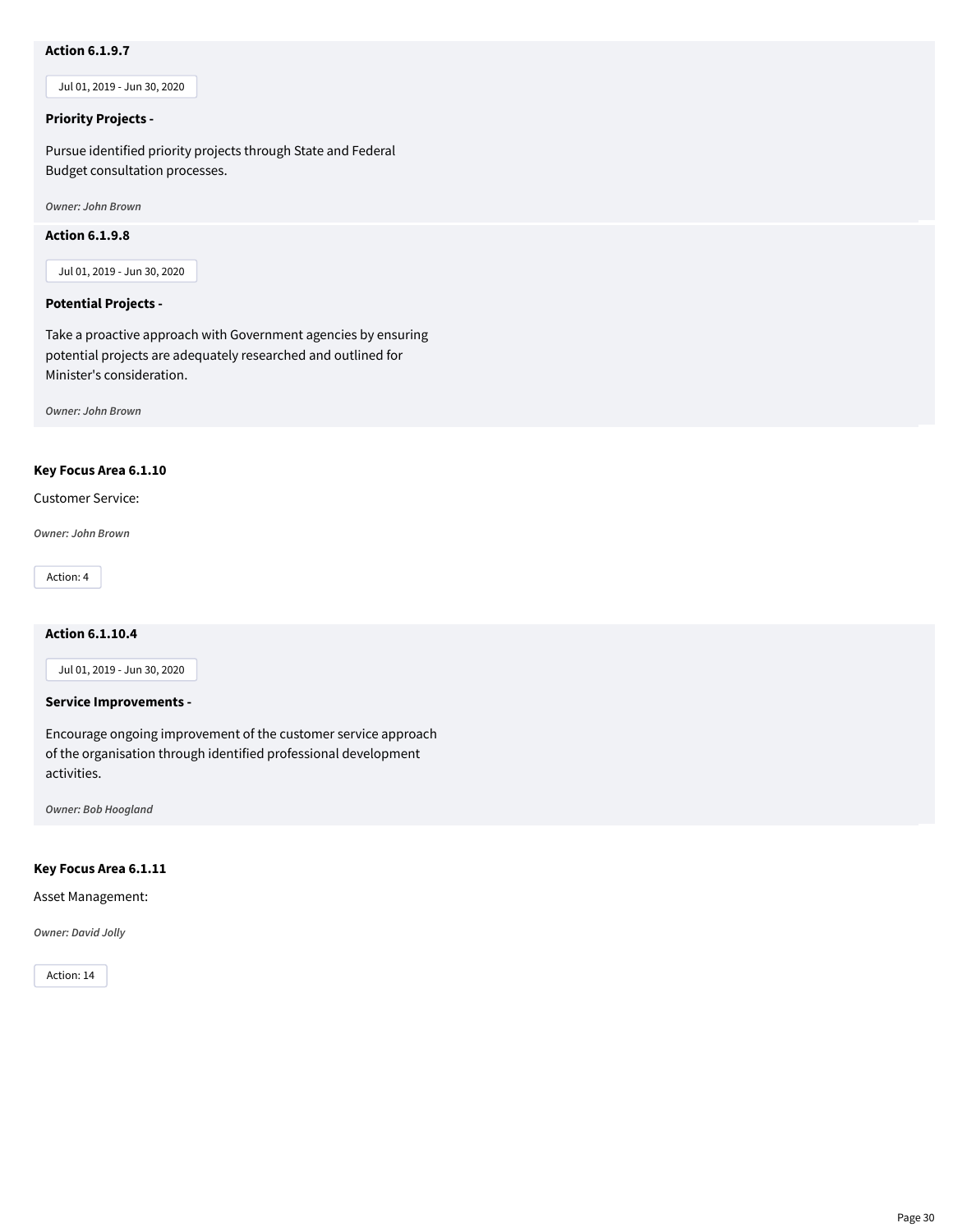# **Action 6.1.9.7**

Jul 01, 2019 - Jun 30, 2020

# **Priority Projects -**

Pursue identified priority projects through State and Federal Budget consultation processes.

*Owner: John Brown*

# **Action 6.1.9.8**

Jul 01, 2019 - Jun 30, 2020

#### **Potential Projects -**

Take a proactive approach with Government agencies by ensuring potential projects are adequately researched and outlined for Minister's consideration.

*Owner: John Brown*

# **Key Focus Area 6.1.10**

Customer Service:

*Owner: John Brown*

Action: 4

# **Action 6.1.10.4**

Jul 01, 2019 - Jun 30, 2020

#### **Service Improvements -**

Encourage ongoing improvement of the customer service approach of the organisation through identified professional development activities.

*Owner: Bob Hoogland*

#### **Key Focus Area 6.1.11**

Asset Management:

*Owner: David Jolly*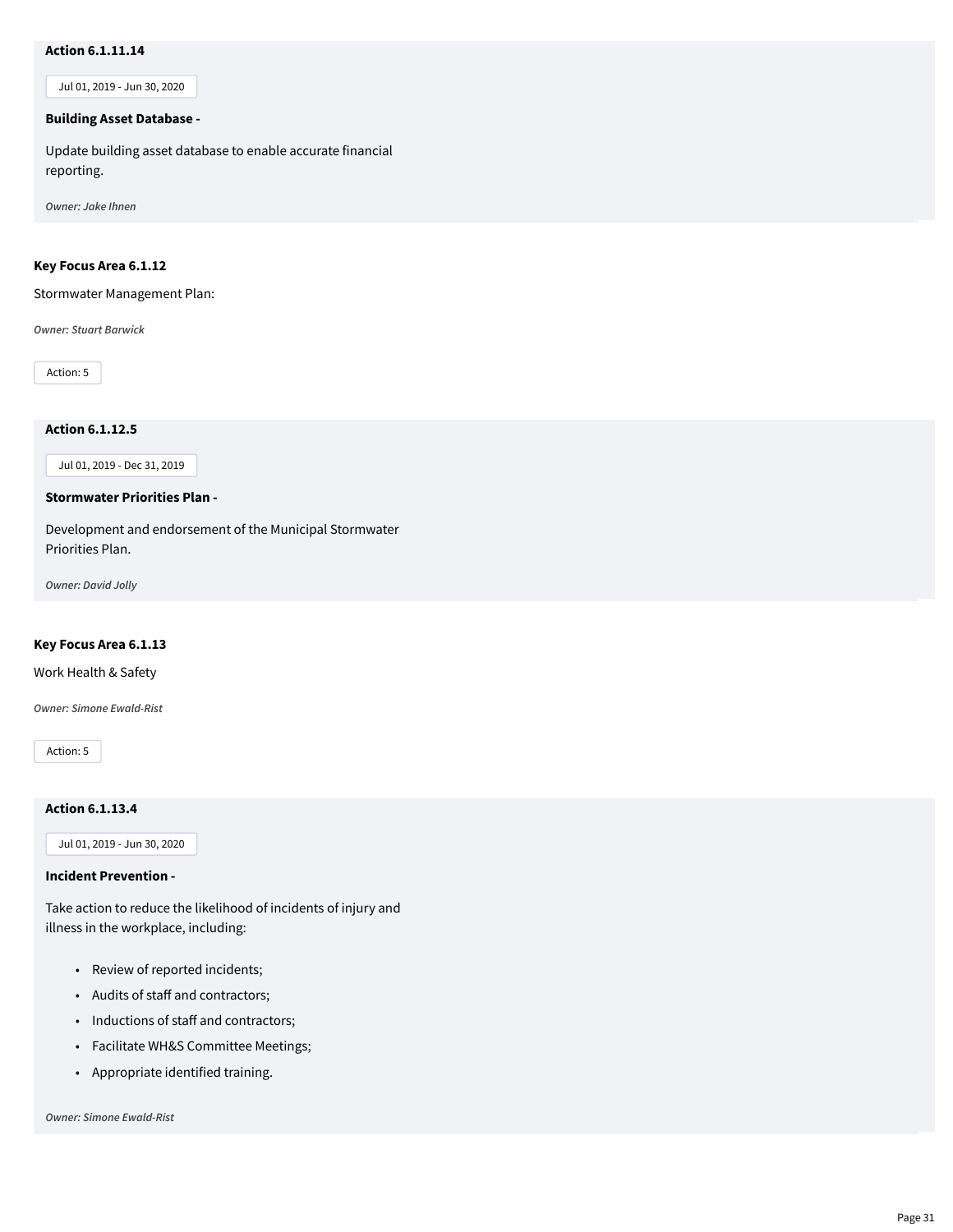# **Action 6.1.11.14**

Jul 01, 2019 - Jun 30, 2020

#### **Building Asset Database -**

Update building asset database to enable accurate financial reporting.

*Owner: Jake Ihnen*

# **Key Focus Area 6.1.12**

Stormwater Management Plan:

*Owner: Stuart Barwick*

Action: 5

# **Action 6.1.12.5**

Jul 01, 2019 - Dec 31, 2019

# **Stormwater Priorities Plan -**

Development and endorsement of the Municipal Stormwater Priorities Plan.

*Owner: David Jolly*

#### **Key Focus Area 6.1.13**

Work Health & Safety

*Owner: Simone Ewald-Rist*

Action: 5

#### **Action 6.1.13.4**

Jul 01, 2019 - Jun 30, 2020

#### **Incident Prevention -**

Take action to reduce the likelihood of incidents of injury and illness in the workplace, including:

- Review of reported incidents;
- Audits of staff and contractors;
- Inductions of staff and contractors;
- Facilitate WH&S Committee Meetings;
- Appropriate identified training.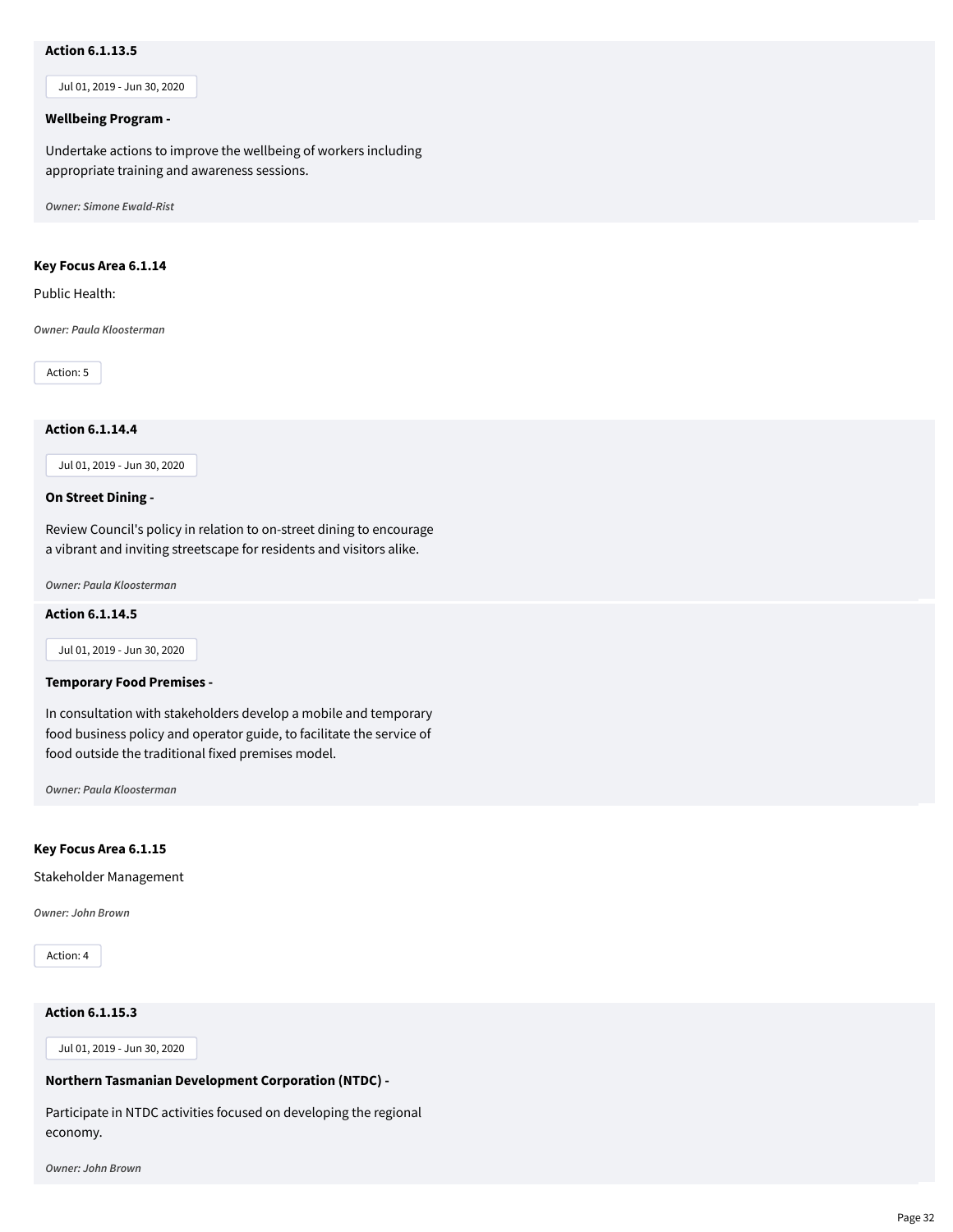# **Action 6.1.13.5**

Jul 01, 2019 - Jun 30, 2020

#### **Wellbeing Program -**

Undertake actions to improve the wellbeing of workers including appropriate training and awareness sessions.

*Owner: Simone Ewald-Rist*

#### **Key Focus Area 6.1.14**

Public Health:

*Owner: Paula Kloosterman*

Action: 5

# **Action 6.1.14.4**

Jul 01, 2019 - Jun 30, 2020

#### **On Street Dining -**

Review Council's policy in relation to on-street dining to encourage a vibrant and inviting streetscape for residents and visitors alike.

*Owner: Paula Kloosterman*

#### **Action 6.1.14.5**

Jul 01, 2019 - Jun 30, 2020

#### **Temporary Food Premises -**

In consultation with stakeholders develop a mobile and temporary food business policy and operator guide, to facilitate the service of food outside the traditional fixed premises model.

*Owner: Paula Kloosterman*

# **Key Focus Area 6.1.15**

Stakeholder Management

*Owner: John Brown*

Action: 4

# **Action 6.1.15.3**

Jul 01, 2019 - Jun 30, 2020

#### **Northern Tasmanian Development Corporation (NTDC) -**

Participate in NTDC activities focused on developing the regional economy.

*Owner: John Brown*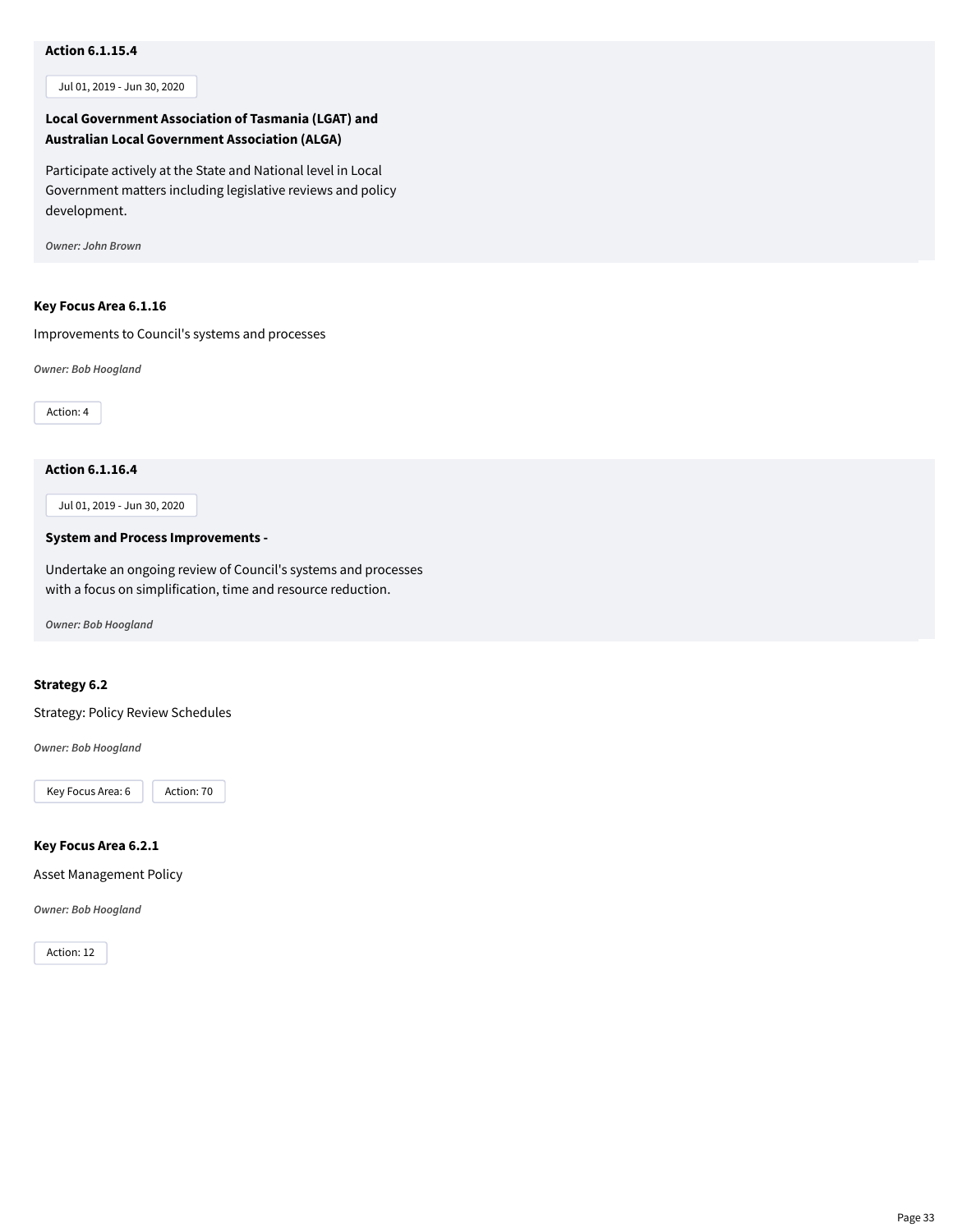# **Action 6.1.15.4**

Jul 01, 2019 - Jun 30, 2020

# **Local Government Association of Tasmania (LGAT) and Australian Local Government Association (ALGA)**

Participate actively at the State and National level in Local Government matters including legislative reviews and policy development.

*Owner: John Brown*

#### **Key Focus Area 6.1.16**

Improvements to Council's systems and processes

*Owner: Bob Hoogland*

Action: 4

# **Action 6.1.16.4**

Jul 01, 2019 - Jun 30, 2020

#### **System and Process Improvements -**

Undertake an ongoing review of Council's systems and processes with a focus on simplification, time and resource reduction.

*Owner: Bob Hoogland*

# **Strategy 6.2**

Strategy: Policy Review Schedules

*Owner: Bob Hoogland*

Key Focus Area: 6 | Action: 70

# **Key Focus Area 6.2.1**

Asset Management Policy

*Owner: Bob Hoogland*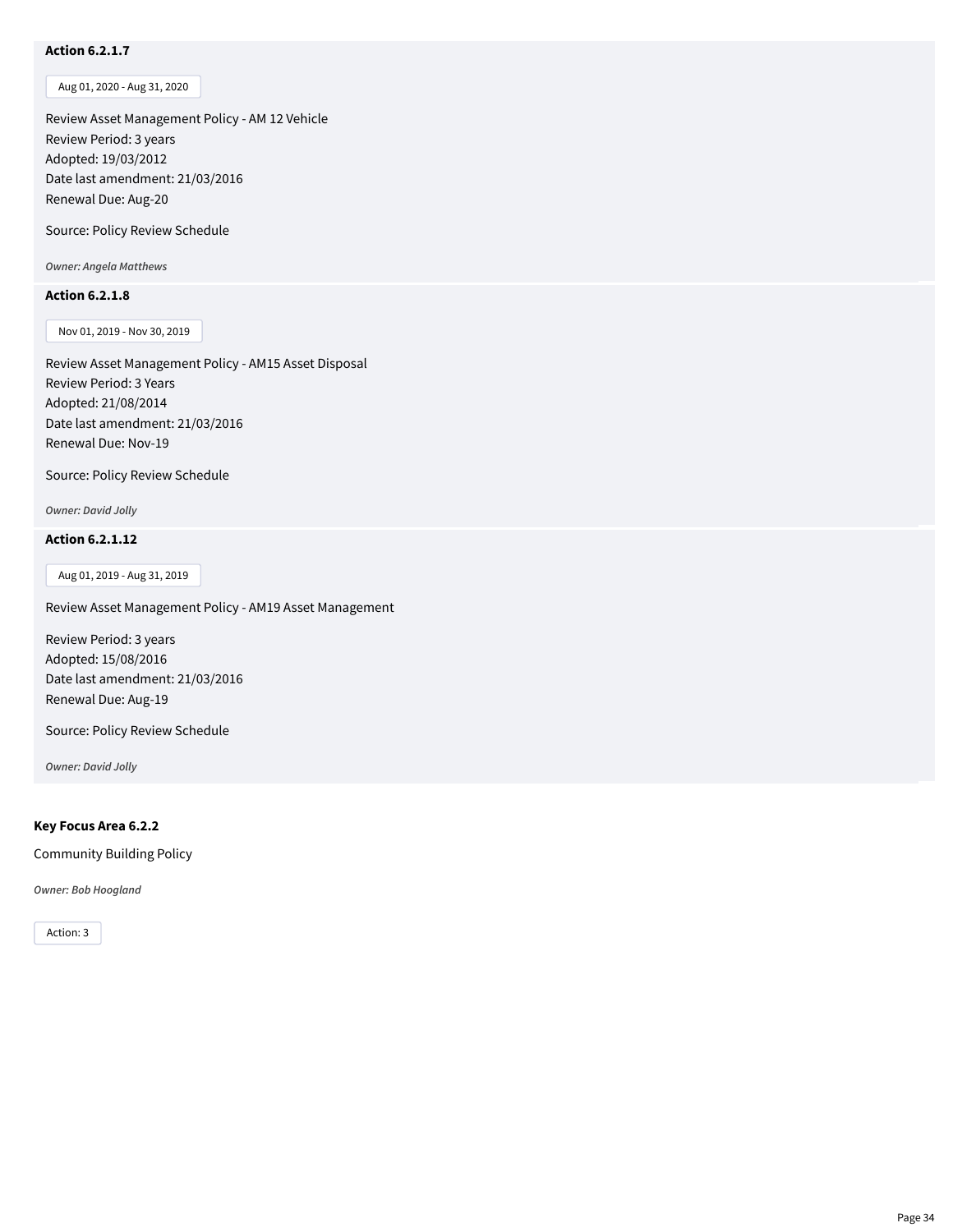# **Action 6.2.1.7**

Aug 01, 2020 - Aug 31, 2020

Review Asset Management Policy - AM 12 Vehicle Review Period: 3 years Adopted: 19/03/2012 Date last amendment: 21/03/2016 Renewal Due: Aug-20

Source: Policy Review Schedule

*Owner: Angela Matthews*

#### **Action 6.2.1.8**

Nov 01, 2019 - Nov 30, 2019

Review Asset Management Policy - AM15 Asset Disposal Review Period: 3 Years Adopted: 21/08/2014 Date last amendment: 21/03/2016 Renewal Due: Nov-19

Source: Policy Review Schedule

*Owner: David Jolly*

# **Action 6.2.1.12**

Aug 01, 2019 - Aug 31, 2019

Review Asset Management Policy - AM19 Asset Management

Review Period: 3 years Adopted: 15/08/2016 Date last amendment: 21/03/2016 Renewal Due: Aug-19

Source: Policy Review Schedule

*Owner: David Jolly*

# **Key Focus Area 6.2.2**

Community Building Policy

*Owner: Bob Hoogland*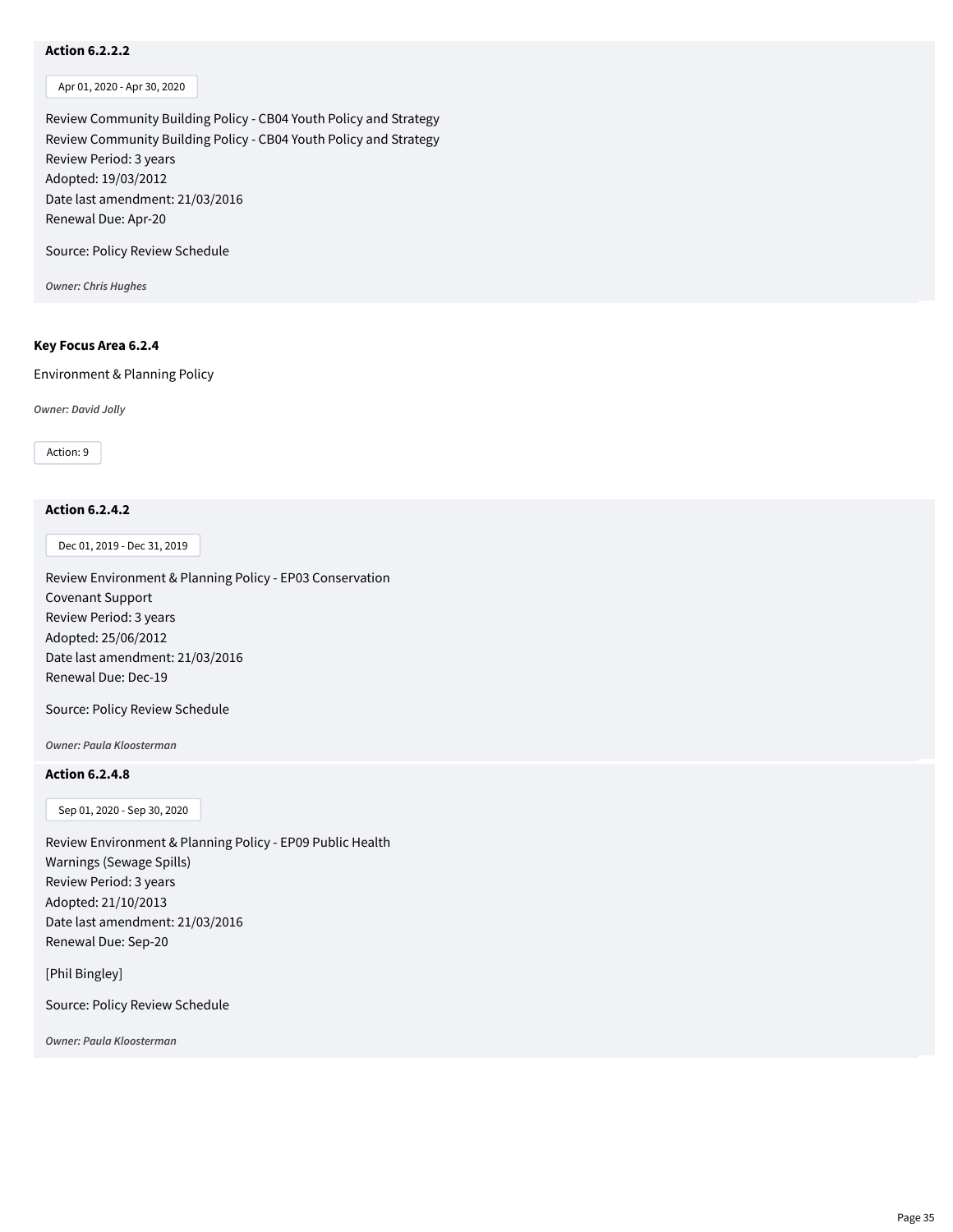# **Action 6.2.2.2**

Apr 01, 2020 - Apr 30, 2020

Review Community Building Policy - CB04 Youth Policy and Strategy Review Community Building Policy - CB04 Youth Policy and Strategy Review Period: 3 years Adopted: 19/03/2012 Date last amendment: 21/03/2016 Renewal Due: Apr-20

Source: Policy Review Schedule

*Owner: Chris Hughes*

#### **Key Focus Area 6.2.4**

Environment & Planning Policy

*Owner: David Jolly*

Action: 9

# **Action 6.2.4.2**

Dec 01, 2019 - Dec 31, 2019

Review Environment & Planning Policy - EP03 Conservation Covenant Support Review Period: 3 years Adopted: 25/06/2012 Date last amendment: 21/03/2016 Renewal Due: Dec-19

Source: Policy Review Schedule

*Owner: Paula Kloosterman*

# **Action 6.2.4.8**

Sep 01, 2020 - Sep 30, 2020

Review Environment & Planning Policy - EP09 Public Health Warnings (Sewage Spills) Review Period: 3 years Adopted: 21/10/2013 Date last amendment: 21/03/2016 Renewal Due: Sep-20

[Phil Bingley]

Source: Policy Review Schedule

*Owner: Paula Kloosterman*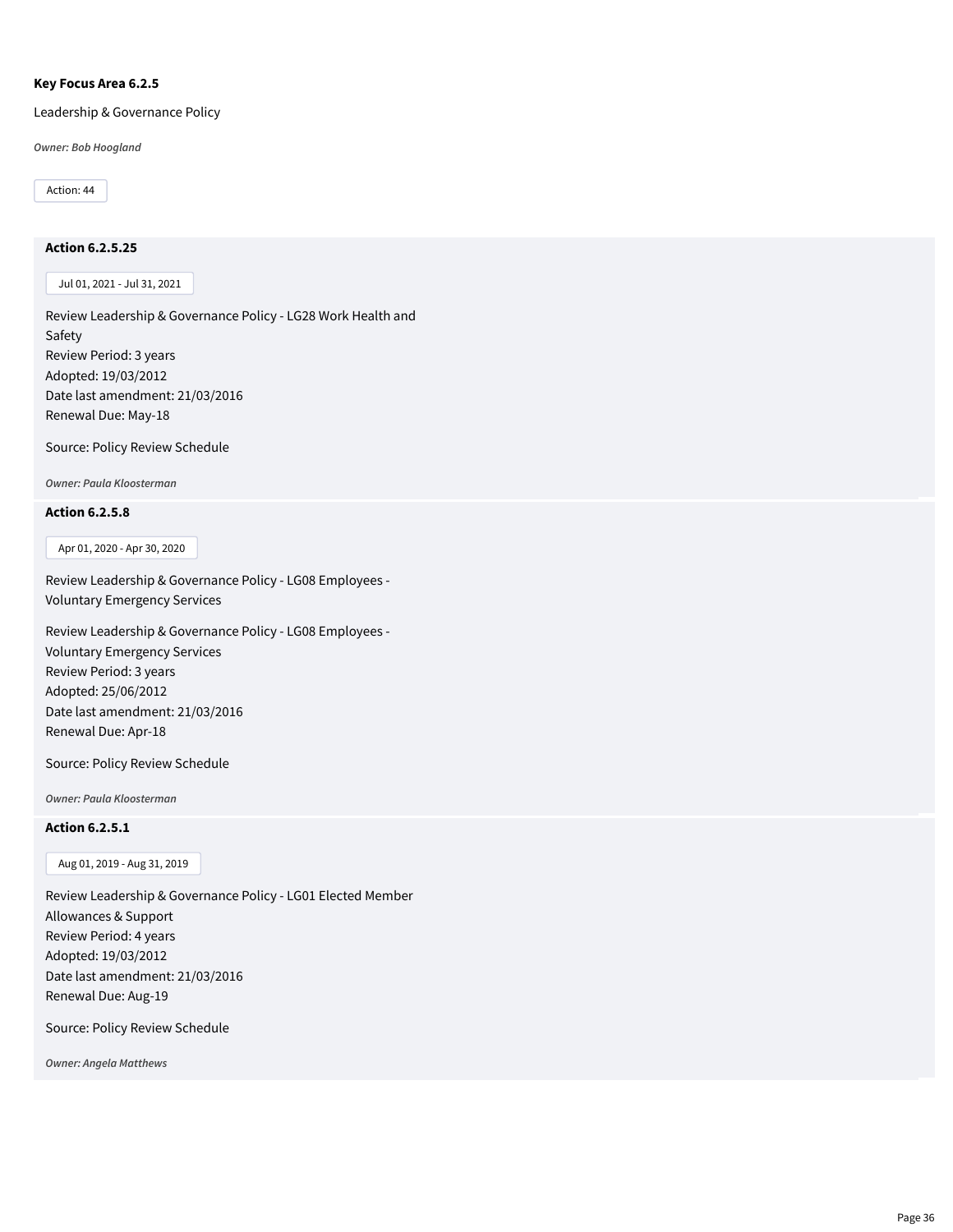#### **Key Focus Area 6.2.5**

Leadership & Governance Policy

*Owner: Bob Hoogland*

Action: 44

### **Action 6.2.5.25**

Jul 01, 2021 - Jul 31, 2021

Review Leadership & Governance Policy - LG28 Work Health and Safety Review Period: 3 years Adopted: 19/03/2012 Date last amendment: 21/03/2016 Renewal Due: May-18

Source: Policy Review Schedule

*Owner: Paula Kloosterman*

# **Action 6.2.5.8**

Apr 01, 2020 - Apr 30, 2020

Review Leadership & Governance Policy - LG08 Employees - Voluntary Emergency Services

Review Leadership & Governance Policy - LG08 Employees - Voluntary Emergency Services Review Period: 3 years Adopted: 25/06/2012 Date last amendment: 21/03/2016 Renewal Due: Apr-18

Source: Policy Review Schedule

*Owner: Paula Kloosterman*

#### **Action 6.2.5.1**

Aug 01, 2019 - Aug 31, 2019

Review Leadership & Governance Policy - LG01 Elected Member Allowances & Support Review Period: 4 years Adopted: 19/03/2012 Date last amendment: 21/03/2016 Renewal Due: Aug-19

Source: Policy Review Schedule

*Owner: Angela Matthews*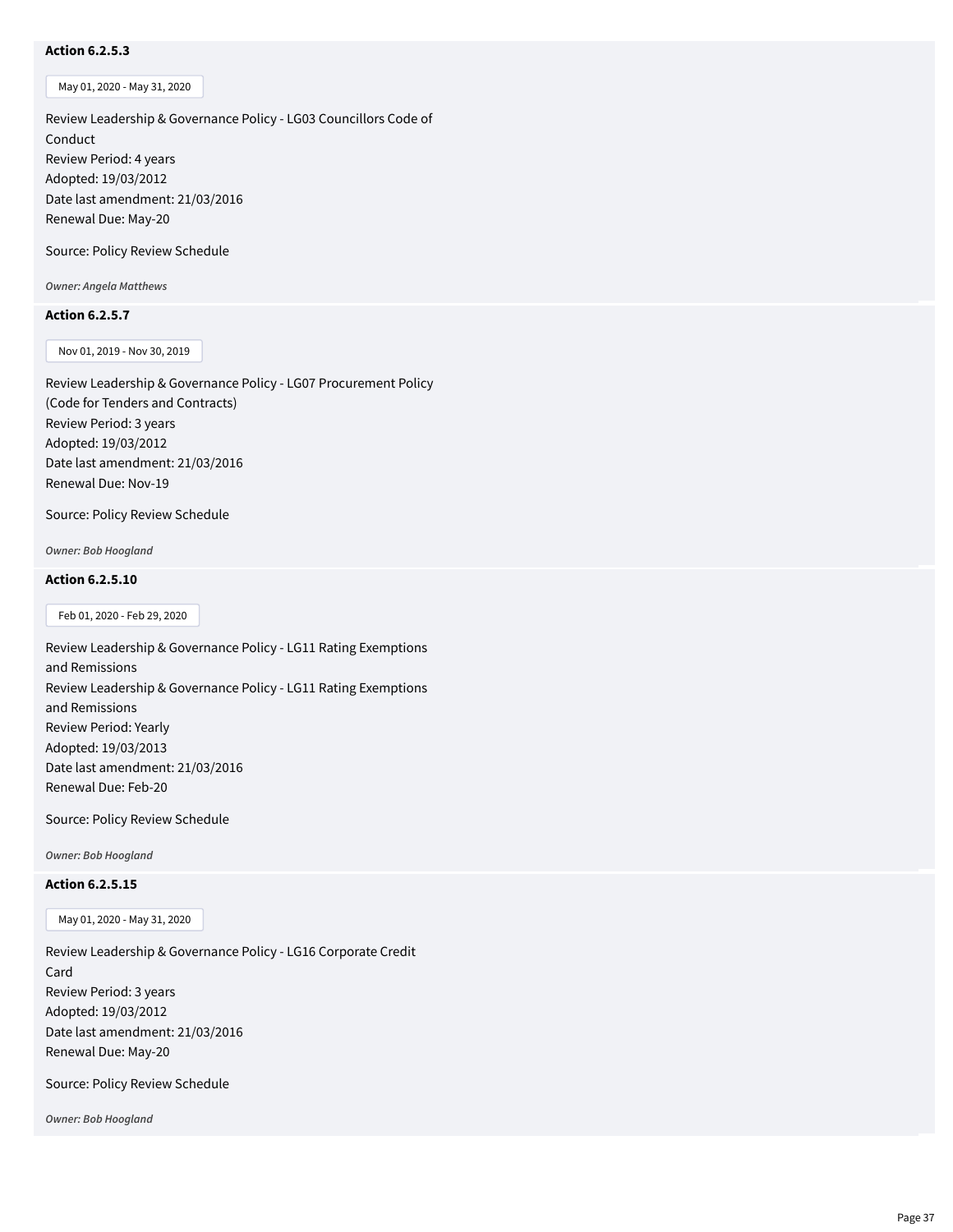# **Action 6.2.5.3**

May 01, 2020 - May 31, 2020

Review Leadership & Governance Policy - LG03 Councillors Code of Conduct Review Period: 4 years Adopted: 19/03/2012 Date last amendment: 21/03/2016 Renewal Due: May-20

Source: Policy Review Schedule

*Owner: Angela Matthews*

#### **Action 6.2.5.7**

Nov 01, 2019 - Nov 30, 2019

Review Leadership & Governance Policy - LG07 Procurement Policy (Code for Tenders and Contracts) Review Period: 3 years Adopted: 19/03/2012 Date last amendment: 21/03/2016 Renewal Due: Nov-19

Source: Policy Review Schedule

*Owner: Bob Hoogland*

# **Action 6.2.5.10**

Feb 01, 2020 - Feb 29, 2020

Review Leadership & Governance Policy - LG11 Rating Exemptions and Remissions Review Leadership & Governance Policy - LG11 Rating Exemptions and Remissions Review Period: Yearly Adopted: 19/03/2013 Date last amendment: 21/03/2016 Renewal Due: Feb-20

Source: Policy Review Schedule

*Owner: Bob Hoogland*

# **Action 6.2.5.15**

May 01, 2020 - May 31, 2020

Review Leadership & Governance Policy - LG16 Corporate Credit Card Review Period: 3 years Adopted: 19/03/2012 Date last amendment: 21/03/2016 Renewal Due: May-20

Source: Policy Review Schedule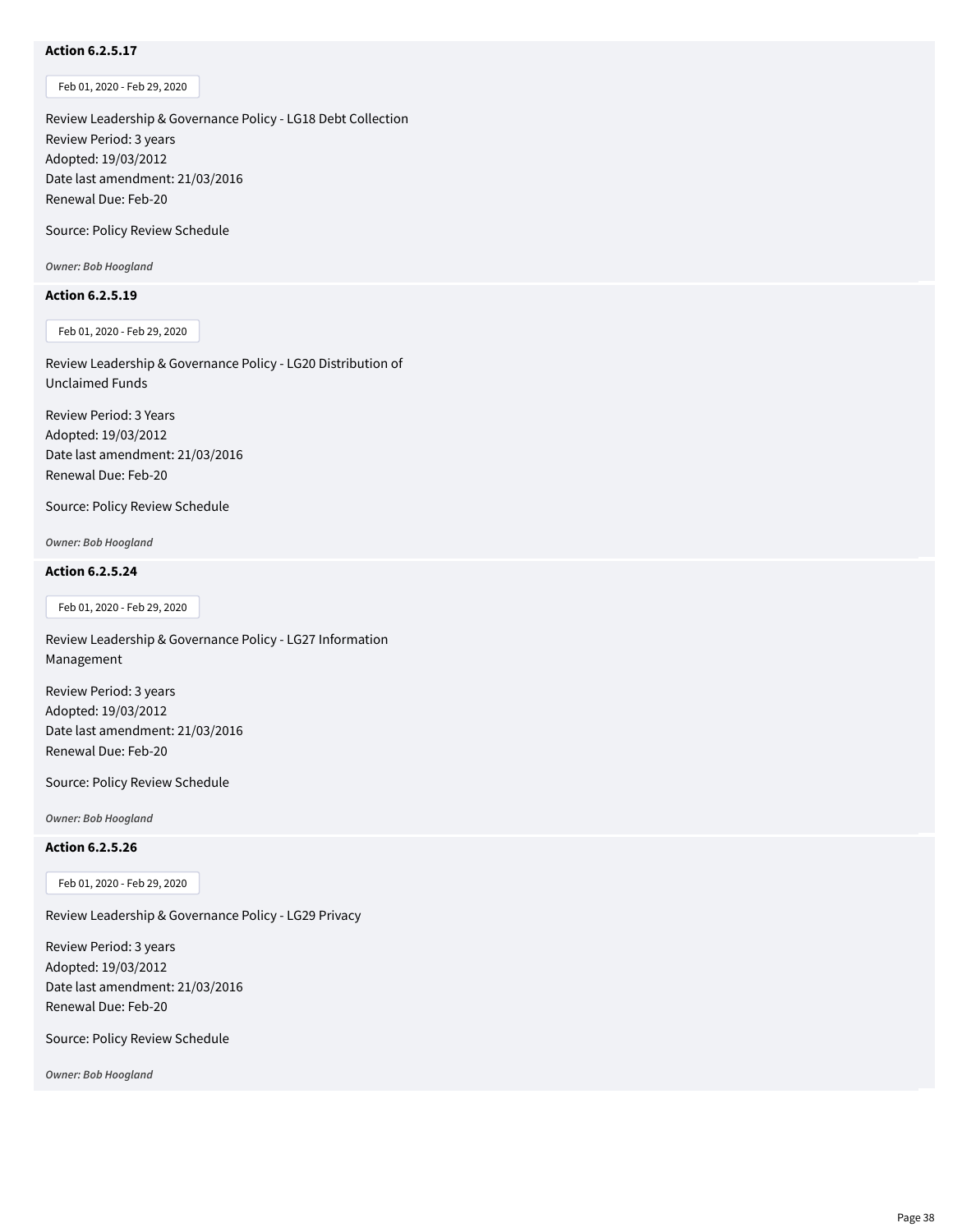# **Action 6.2.5.17**

Feb 01, 2020 - Feb 29, 2020

Review Leadership & Governance Policy - LG18 Debt Collection Review Period: 3 years Adopted: 19/03/2012 Date last amendment: 21/03/2016 Renewal Due: Feb-20

Source: Policy Review Schedule

*Owner: Bob Hoogland*

#### **Action 6.2.5.19**

Feb 01, 2020 - Feb 29, 2020

Review Leadership & Governance Policy - LG20 Distribution of Unclaimed Funds

Review Period: 3 Years Adopted: 19/03/2012 Date last amendment: 21/03/2016 Renewal Due: Feb-20

Source: Policy Review Schedule

*Owner: Bob Hoogland*

#### **Action 6.2.5.24**

Feb 01, 2020 - Feb 29, 2020

Review Leadership & Governance Policy - LG27 Information Management

Review Period: 3 years Adopted: 19/03/2012 Date last amendment: 21/03/2016 Renewal Due: Feb-20

Source: Policy Review Schedule

*Owner: Bob Hoogland*

# **Action 6.2.5.26**

Feb 01, 2020 - Feb 29, 2020

Review Leadership & Governance Policy - LG29 Privacy

Review Period: 3 years Adopted: 19/03/2012 Date last amendment: 21/03/2016 Renewal Due: Feb-20

Source: Policy Review Schedule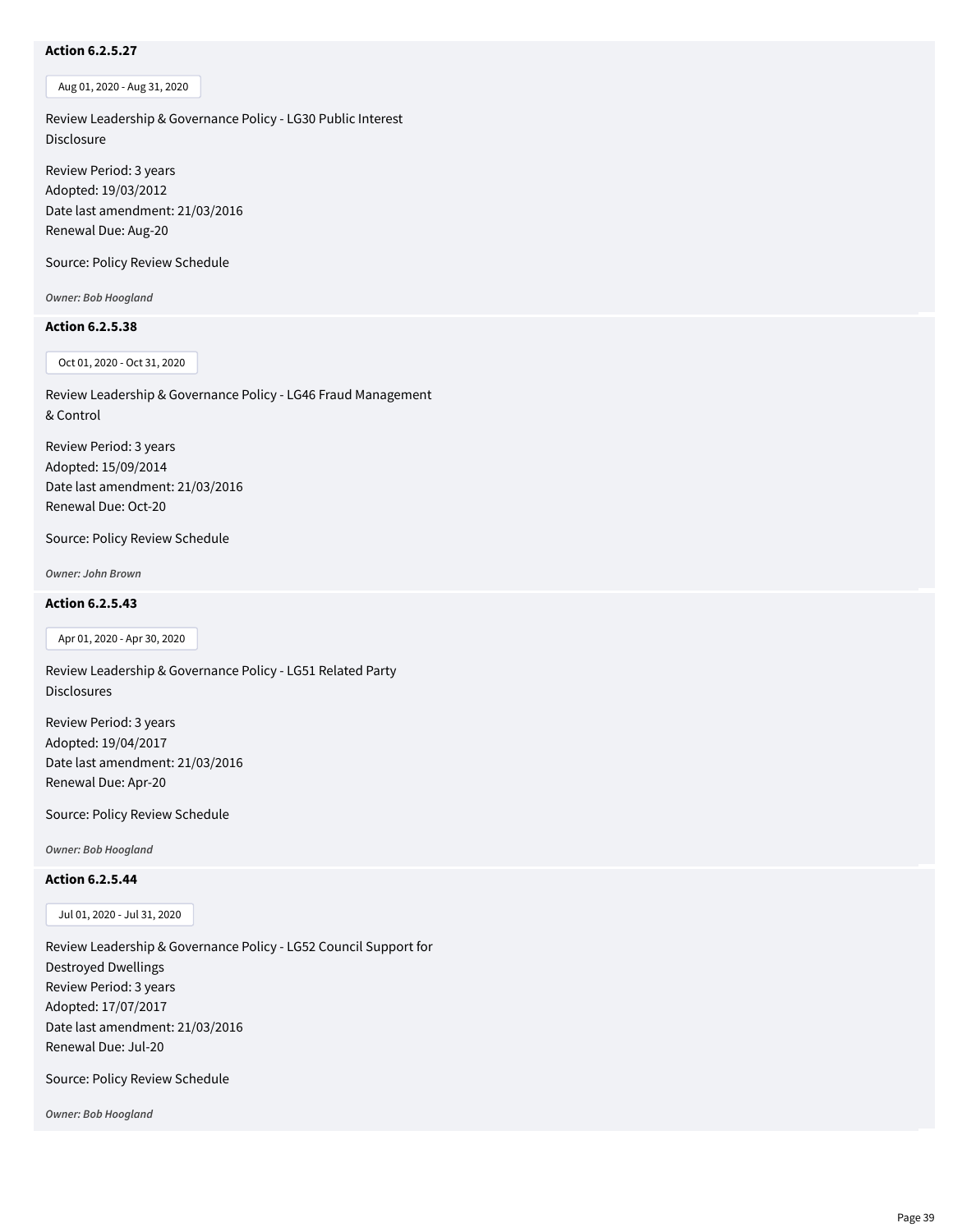# **Action 6.2.5.27**

Aug 01, 2020 - Aug 31, 2020

Review Leadership & Governance Policy - LG30 Public Interest Disclosure

Review Period: 3 years Adopted: 19/03/2012 Date last amendment: 21/03/2016 Renewal Due: Aug-20

Source: Policy Review Schedule

*Owner: Bob Hoogland*

# **Action 6.2.5.38**

Oct 01, 2020 - Oct 31, 2020

Review Leadership & Governance Policy - LG46 Fraud Management & Control

Review Period: 3 years Adopted: 15/09/2014 Date last amendment: 21/03/2016 Renewal Due: Oct-20

Source: Policy Review Schedule

*Owner: John Brown*

#### **Action 6.2.5.43**

Apr 01, 2020 - Apr 30, 2020

Review Leadership & Governance Policy - LG51 Related Party Disclosures

Review Period: 3 years Adopted: 19/04/2017 Date last amendment: 21/03/2016 Renewal Due: Apr-20

Source: Policy Review Schedule

*Owner: Bob Hoogland*

#### **Action 6.2.5.44**

Jul 01, 2020 - Jul 31, 2020

Review Leadership & Governance Policy - LG52 Council Support for Destroyed Dwellings Review Period: 3 years Adopted: 17/07/2017 Date last amendment: 21/03/2016 Renewal Due: Jul-20

Source: Policy Review Schedule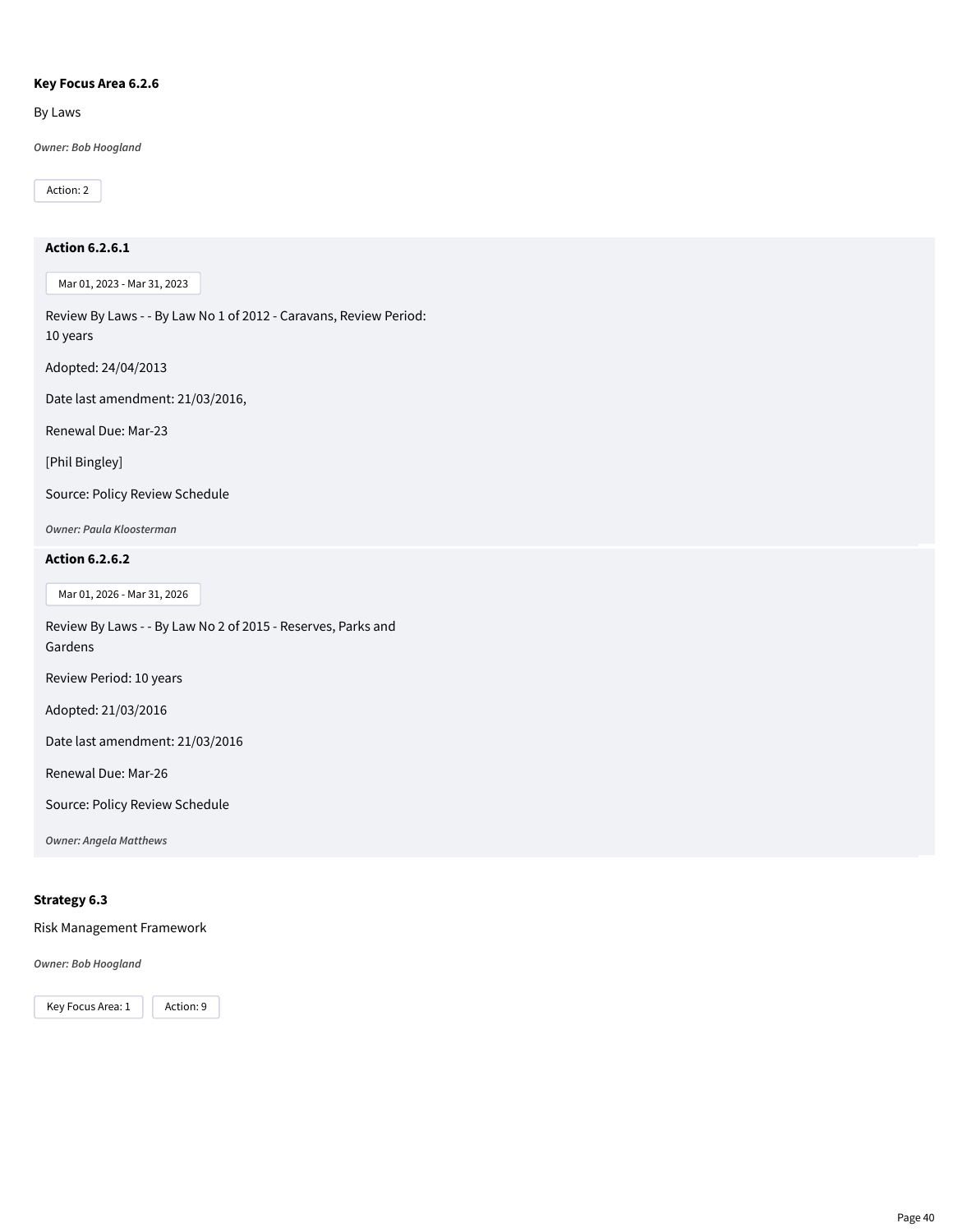#### **Key Focus Area 6.2.6**

By Laws

*Owner: Bob Hoogland*

Action: 2

# **Action 6.2.6.1**

Mar 01, 2023 - Mar 31, 2023

Review By Laws - - By Law No 1 of 2012 - Caravans, Review Period: 10 years

Adopted: 24/04/2013

Date last amendment: 21/03/2016,

Renewal Due: Mar-23

[Phil Bingley]

Source: Policy Review Schedule

*Owner: Paula Kloosterman*

#### **Action 6.2.6.2**

Mar 01, 2026 - Mar 31, 2026

Review By Laws - - By Law No 2 of 2015 - Reserves, Parks and Gardens

Review Period: 10 years

Adopted: 21/03/2016

Date last amendment: 21/03/2016

Renewal Due: Mar-26

Source: Policy Review Schedule

*Owner: Angela Matthews*

# **Strategy 6.3**

Risk Management Framework

*Owner: Bob Hoogland*

Key Focus Area: 1 | Action: 9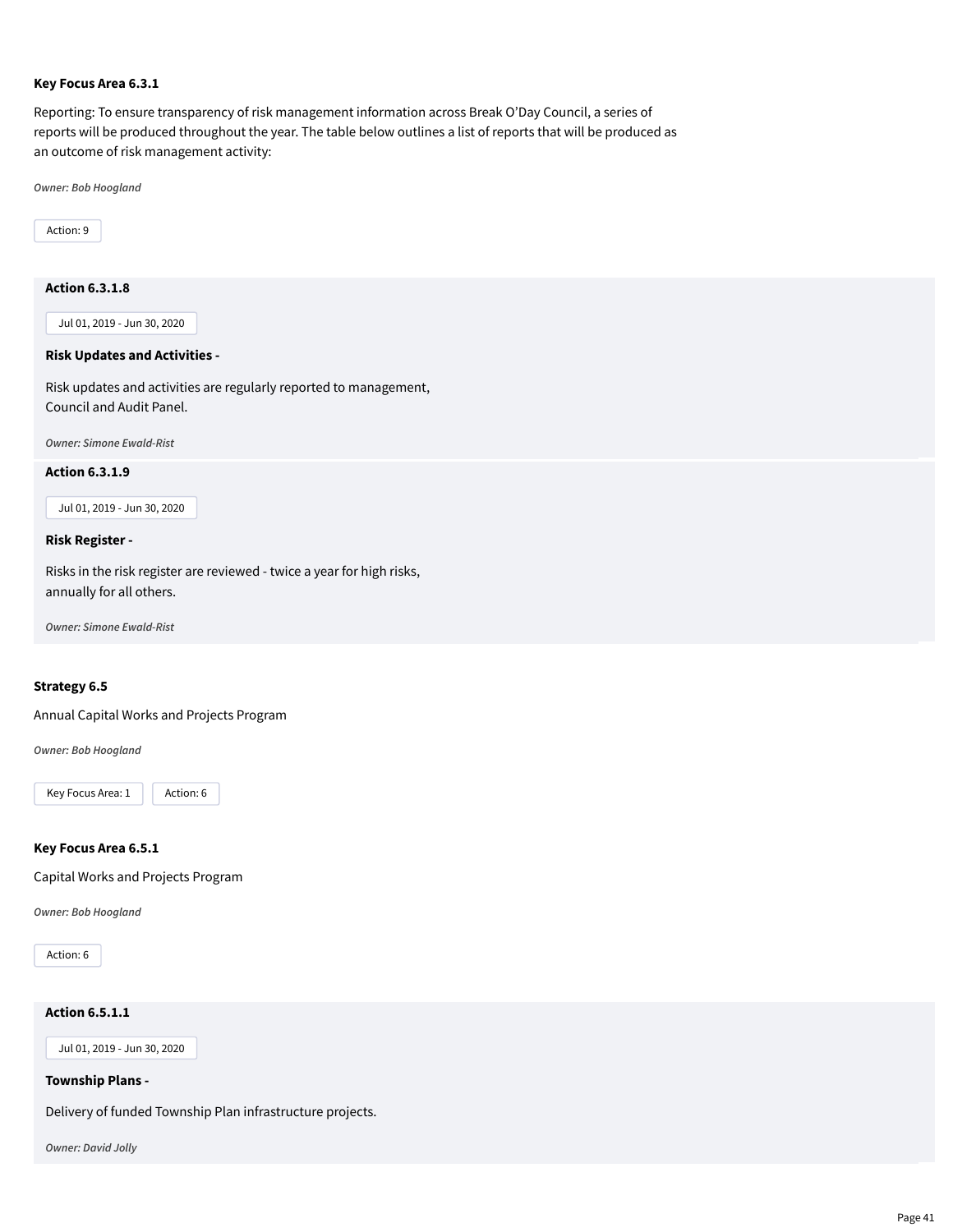#### **Key Focus Area 6.3.1**

Reporting: To ensure transparency of risk management information across Break O'Day Council, a series of reports will be produced throughout the year. The table below outlines a list of reports that will be produced as an outcome of risk management activity:

*Owner: Bob Hoogland*

Action: 9

# **Action 6.3.1.8**

Jul 01, 2019 - Jun 30, 2020

#### **Risk Updates and Activities -**

Risk updates and activities are regularly reported to management, Council and Audit Panel.

*Owner: Simone Ewald-Rist*

#### **Action 6.3.1.9**

Jul 01, 2019 - Jun 30, 2020

#### **Risk Register -**

Risks in the risk register are reviewed - twice a year for high risks, annually for all others.

*Owner: Simone Ewald-Rist*

#### **Strategy 6.5**

Annual Capital Works and Projects Program

*Owner: Bob Hoogland*

Key Focus Area: 1 | Action: 6

#### **Key Focus Area 6.5.1**

Capital Works and Projects Program

*Owner: Bob Hoogland*

Action: 6

# **Action 6.5.1.1**

Jul 01, 2019 - Jun 30, 2020

#### **Township Plans -**

Delivery of funded Township Plan infrastructure projects.

*Owner: David Jolly*